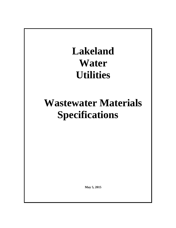# **Lakeland Water Utilities**

# **Wastewater Materials Specifications**

**May 5, 2015**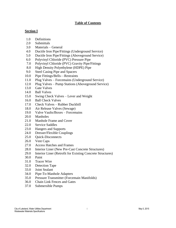# **Table of Contents**

## **Section I**

- 1.0 Definitions
- 2.0 Submittals
- 3.0 Materials General
- 4.0 Ductile Iron Pipe/Fittings (Underground Service)
- 5.0 Ductile Iron Pipe/Fittings (Aboveground Service)
- 6.0 Polyvinyl Chloride (PVC) Pressure Pipe
- 7.0 Polyvinyl Chloride (PVC) Gravity Pipe/Fittings
- 8.0 High Density Polyethylene (HDPE) Pipe
- 9.0 Steel Casing Pipe and Spacers
- 10.0 Pipe Fittings/Bells—Restraints
- 11.0 Plug Valves Forcemains (Underground Service)
- 12.0 Plug Valves Pump Stations (Aboveground Service)
- 13.0 Gate Valves
- 14.0 Ball Valves
- 15.0 Swing Check Valves Lever and Weight
- 16.0 Ball Check Valves
- 17.0 Check Valves Rubber Duckbill
- 18.0 Air Release Valves (Sewage)
- 19.0 Valve Vaults/Boxes Forcemains
- 20.0 Manholes
- 21.0 Manhole Frame and Cover
- 22.0 Service Saddles
- 23.0 Hangers and Supports
- 24.0 Dresser/Flexible Couplings
- 25.0 Quick-Disconnects
- 26.0 Vent Caps
- 27.0 Access Hatches and Frames
- 28.0 Interior Liner (New Pre-Cast Concrete Structures)
- 29.0 Interior Liner (Retrofit for Existing Concrete Structures)
- 30.0 Paint
- 31.0 Tracer Wire
- 32.0 Detection Tape
- 33.0 Joint Sealant
- 34.0 Pipe-To-Manhole Adapters
- 35.0 Pressure Transmitter (Forcemain Manifolds)
- 36.0 Chain Link Fences and Gates
- 37.0 Submersible Pumps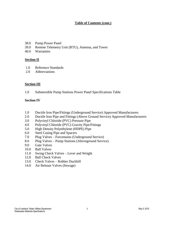# **Table of Contents (cont.)**

- 38.0 Pump Power Panel
- 39.0 Remote Telemetry Unit (RTU), Antenna, and Tower
- 40.0 Warranties

## **Section II**

- 1.0 Reference Standards
- 2.0 Abbreviations

## **Section III**

1.0 Submersible Pump Stations Power Panel Specifications Table

# **Section IV**

- 1.0 Ductile Iron Pipe/Fittings (Underground Service) Approved Manufacturers
- 2.0 Ductile Iron Pipe and Fittings (Above Ground Service) Approved Manufacturers
- 3.0 Polyvinyl Chloride (PVC) Pressure Pipe
- 4.0 Polyvinyl Chloride (PVC) Gravity Pipe/Fittings
- 5.0 High Density Polyethylene (HDPE) Pipe
- 6.0 Steel Casing Pipe and Spacers
- 7.0 Plug Valves Forcemains (Underground Service)
- 8.0 Plug Valves Pump Stations (Aboveground Service)
- 9.0 Gate Valves
- 10.0 Ball Valves
- 11.0 Swing Check Valves Lever and Weight
- 12.0 Ball Check Valves
- 13.0 Check Valves Rubber Duckbill
- 14.0 Air Release Valves (Sewage)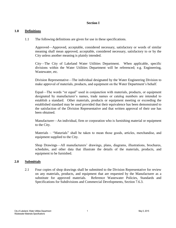# **Section I**

#### **1.0 Definitions**

1.1 The following definitions are given for use in these specifications.

Approved—Approved, acceptable, considered necessary, satisfactory or words of similar meaning shall mean approved, acceptable, considered necessary, satisfactory to or by the City unless another meaning is plainly intended.

City—The City of Lakeland Water Utilities Department. When applicable, specific divisions within the Water Utilities Department will be referenced; e.g. Engineering, Wastewater, etc.

Division Representative—The individual designated by the Water Engineering Division to make approval of materials, products, and equipment on the Water Department's behalf.

Equal—The words "or equal" used in conjunction with materials, products, or equipment designated by manufacturer's names, trade names or catalog numbers are intended to establish a standard. Other materials, products or equipment meeting or exceeding the established standard may be used provided that their equivalence has been demonstrated to the satisfaction of the Division Representative and that written approval of their use has been obtained.

Manufacturer—An individual, firm or corporation who is furnishing material or equipment to the City.

Materials – "Materials" shall be taken to mean those goods, articles, merchandise, and equipment supplied to the City.

Shop Drawings—All manufacturers' drawings, plans, diagrams, illustrations, brochures, schedules, and other data that illustrate the details of the materials, products, and equipment to be furnished.

#### **2.0 Submittals**

2.1 Four copies of shop drawings shall be submitted to the Division Representative for review on any materials, products, and equipment that are requested by the Manufacturer as a substitute for approved materials. Reference Wastewater Policies, Standards and Specifications for Subdivisions and Commercial Developments, Section 7.6.3.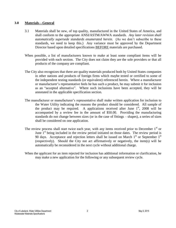## **3.0 Materials—General**

- 3.1 Materials shall be new, of top quality, manufactured in the United States of America, and shall conform to the appropriate ANSI/ASTM/AWWA standards. *Any later revision shall automatically supersede standards enumerated herein.* (As we don't subscribe to these standards, we need to keep this.) Any variance must be approved by the Department Director based upon detailed specifications BEFORE materials are purchased.
- When possible, a list of manufacturers known to make at least some compliant items will be provided with each section. The City does not claim they are the sole providers or that all products of the company are compliant.
- The City also recognizes that there are quality materials produced both by United States companies in other nations and products of foreign firms which maybe tested or certified to some of the independent testing standards (or equivalent) referenced herein. Where a manufacturer or manufacturer's representative feels he has such a product, he may submit it for inclusion as an "accepted alternative". Where such inclusions have been accepted, they will be annotated in the applicable specification section.
- The manufacturer or manufacturer's representative shall make written application for inclusion to the Water Utility indicating the reasons the product should be considered. All sample of the product may be required. A applications received after June  $1<sup>st</sup>$ , 2008 will be accompanied by a review fee in the amount of \$50.00. Providing the manufacturing standards do not change between sizes (or in the case of fittings – shapes), a series of sizes shall be considered on one application.
- The review process shall start twice each year, with any items received prior to December  $1<sup>st</sup>$  or June  $1<sup>st</sup>$  being included in the review period initiated on those dates. The review period is 90 days. Acceptance and rejection letters shall be issued on March  $1<sup>st</sup>$  or September  $1<sup>st</sup>$ (respectively). Should the City not act affirmatively or negatively, the item(s) will be automatically be reconsidered in the next cycle without additional charge.
- When the applicant for an item rejected for inclusion has additional information or clarification, he may make a new application for the following or any subsequent review cycle.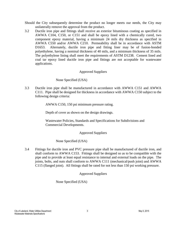- Should the City subsequently determine the product no longer meets our needs, the City may unilaterally remove the approval from the product.
- 3.2 Ductile iron pipe and fittings shall receive an exterior bituminous coating as specified in AWWA C104, C150, or C151 and shall be epoxy lined with a chemically cured, two component epoxy material, having a minimum 24 mils dry thickness as specified in AWWA C550 and/or AWWA C210. Permeability shall be in accordance with ASTM D1653. Alternately, ductile iron pipe and fitting liner may be of fusion-bonded polyethylene, having a nominal thickness of 40 mils, and a minimum thickness of 35 mils. The polyethylene lining shall meet the requirements of ASTM D1238. Cement lined and coal tar epoxy lined ductile iron pipe and fittings are not acceptable for wastewater applications.

## Approved Suppliers

None Specified (USA)

3.3 Ductile iron pipe shall be manufactured in accordance with AWWA C151 and AWWA C111. Pipe shall be designed for thickness in accordance with AWWA C150 subject to the following design criteria:

AWWA C150, 150 psi minimum pressure rating.

Depth of cover as shown on the design drawings.

Wastewater Policies, Standards and Specifications for Subdivisions and Commercial Developments.

Approved Suppliers

None Specified (USA)

3.4 Fittings for ductile iron and PVC pressure pipe shall be manufactured of ductile iron, and shall conform to AWWA C153. Fittings shall be designed so as to be compatible with the pipe and to provide at least equal resistance to internal and external loads on the pipe. The joints, bolts, and nuts shall conform to AWWA C111 (mechanical/push joint) and AWWA C115 (flanged joint). All fittings shall be rated for not less than 150 psi working pressure.

Approved Suppliers

None Specified (USA)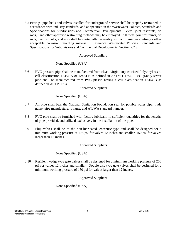3.5 Fittings, pipe bells and valves installed for underground service shall be properly restrained in accordance with industry standards, and as specified in the Wastewater Policies, Standards and Specifications for Subdivisions and Commercial Developments. Metal joint restraints, tie rods, , and other approved restraining methods may be employed. All metal joint restraints, tie rods, clamps, bolts, and nuts shall be coated after assembly with a bituminous coating or other acceptable corrosion retarding material. Reference Wastewater Policies, Standards and Specifications for Subdivisions and Commercial Developments, Section 7.2.9.

# Approved Suppliers

## None Specified (USA)

3.6 PVC pressure pipe shall be manufactured from clean, virgin, unplasticized Polyvinyl resin, cell classification 12454-A or 12454-B as defined in ASTM D1784. PVC gravity sewer pipe shall be manufactured from PVC plastic having a cell classification 12364-B as defined in ASTM 1784.

Approved Suppliers

## None Specified (USA)

- 3.7 All pipe shall bear the National Sanitation Foundation seal for potable water pipe, trade name, pipe manufacturer's name, and AWWA standard number.
- 3.8 PVC pipe shall be furnished with factory lubricant, in sufficient quantities for the lengths of pipe provided, and utilized exclusively in the installation of the pipe.
- 3.9 Plug valves shall be of the non-lubricated, eccentric type and shall be designed for a minimum working pressure of 175 psi for valves 12 inches and smaller, 150 psi for valves larger than 12 inches.

# Approved Suppliers

#### None Specified (USA)

3.10 Resilient wedge type gate valves shall be designed for a minimum working pressure of 200 psi for valves 12 inches and smaller. Double disc type gate valves shall be designed for a minimum working pressure of 150 psi for valves larger than 12 inches.

# Approved Suppliers

None Specified (USA)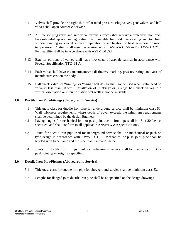- 3.11 Valves shall provide drip tight shut-off at rated pressure. Plug valves, gate valves, and ball valves shall open counter-clockwise.
- 3.12 All interior plug valve and gate valve ferrous surfaces shall receive a protective, nontoxic, fusion-bonded epoxy coating, satin finish, suitable for field over-coating and touch-up without sanding or special surface preparation or application of heat in excess of room temperature. Coating shall meet the requirements of AWWA C550 and/or AWWA C213. Permeability shall be in accordance with ASTM D1653.
- 3.13 Exterior portions of valves shall have two coats of asphalt varnish in accordance with Federal Specification TTC494-A.
- 3.14 Each valve shall have the manufacturer's distinctive marking, pressure rating, and year of manufacture cast on the body.
- 3.15 Ball check valves of "sinking" or "rising" ball design shall not be used when static head on valve is less than 10 feet. Installation of "sinking" or "rising" ball check valves in a vertical orientation or in pump station wet wells is not permissible.

# **4.0 Ductile Iron Pipe/Fittings (Underground Service)**

- 4.1 Thickness class for ductile iron pipe for underground service shall be minimum class 50. Wall thickness requirements where depth of cover exceeds the minimum requirements shall be determined by the design Engineer.
- 4.2 Laying lengths for mechanical joint or push joint ductile iron pipe shall be 18 or 20 feet, as specified, and shall conform to all applicable ANSI/AWWA specifications.
- 4.3 Joints for ductile iron pipe used for underground service shall be mechanical or push-on type design in accordance with AWWA C111. Mechanical or push joint pipe shall be labeled with trade name and the pipe manufacturer's name.
- 4.4 Joints for ductile iron fittings used for underground service shall be mechanical joint or push joint type design, as specified.

#### **5.0 Ductile Iron Pipe/Fittings (Aboveground Service)**

- 5.1 Thickness class for ductile iron pipe for aboveground service shall be minimum class 53.
- 5.2 Lengths for flanged joint ductile iron pipe shall be as specified on the design drawings.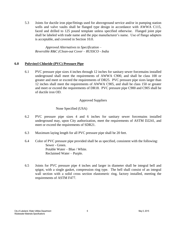5.3 Joints for ductile iron pipe/fittings used for aboveground service and/or in pumping station wells and valve vaults shall be flanged type design in accordance with AWWA C115, faced and drilled to 125 pound template unless specified otherwise. Flanged joint pipe shall be labeled with trade name and the pipe manufacturer's name. Use of flange adapters is acceptable, and covered in Section 10.0.

*Approved Alternatives to Specification – Reversible R&C (Clean-out Cover – RUSSCO - India*

## **6.0 Polyvinyl Chloride (PVC) Pressure Pipe**

6.1 PVC pressure pipe sizes 4 inches through 12 inches for sanitary sewer forcemains installed underground shall meet the requirements of AWWA C900, and shall be class 100 or greater and meet or exceed the requirements of DR25. PVC pressure pipe sizes larger than 12 inches shall meet the requirements of AWWA C905, and shall be class 150 or greater and meet or exceed the requirements of DR18. PVC pressure pipe C900 and C905 shall be of ductile iron OD.

## Approved Suppliers

None Specified (USA)

- 6.2 PVC pressure pipe sizes 4 and 6 inches for sanitary sewer forcemains installed underground may, upon City authorization, meet the requirements of ASTM D2241, and meet or exceed the requirements of SDR21.
- 6.3 Maximum laying length for all PVC pressure pipe shall be 20 feet.
- 6.4 Color of PVC pressure pipe provided shall be as specified, consistent with the following: Sewer - Green. Potable Water – Blue / White. Reclaimed Water – Purple.
- 6.5 Joints for PVC pressure pipe 4 inches and larger in diameter shall be integral bell and spigot, with a single gasket, compression ring type. The bell shall consist of an integral wall section with a solid cross section elastomeric ring, factory installed, meeting the requirements of ASTM F477.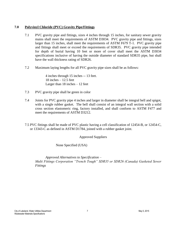# **7.0 Polyvinyl Chloride (PVC) Gravity Pipe/Fittings**

- 7.1 PVC gravity pipe and fittings, sizes 4 inches through 15 inches, for sanitary sewer gravity mains shall meet the requirements of ASTM D3034. PVC gravity pipe and fittings, sizes larger than 15 inches, shall meet the requirements of ASTM F679 T-1. PVC gravity pipe and fittings shall meet or exceed the requirements of SDR35. PVC gravity pipe intended for depth of burial having 10 feet or more of cover shall meet the ASTM D3034 specifications inclusive of having the outside diameter of standard SDR35 pipe, but shall have the wall thickness rating of SDR26.
- 7.2 Maximum laying lengths for all PVC gravity pipe sizes shall be as follows:

4 inches through 15 inches -- 13 feet.  $18$  inches  $-12.5$  feet Larger than 18 inches – 12 feet

- 7.3 PVC gravity pipe shall be green in color
- 7.4 Joints for PVC gravity pipe 4 inches and larger in diameter shall be integral bell and spigot, with a single rubber gasket. The bell shall consist of an integral wall section with a solid cross section elastomeric ring, factory installed, and shall conform to ASTM F477 and meet the requirements of ASTM D3212.
- 7.5 PVC fittings shall be made of PVC plastic having a cell classification of 12454-B, or 12454-C, or 13343-C as defined in ASTM D1784, joined with a rubber gasket joint.

Approved Suppliers

None Specified (USA)

*Approved Alternatives to Specification – Multi Fittings Corporation "Trench Tough" SDR35 or SDR26 (Canada) Gasketed Sewer Fittings*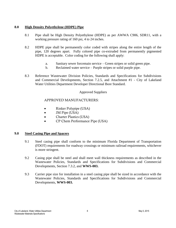# **8.0 High Density Polyethylene (HDPE) Pipe**

- 8.1 Pipe shall be High Density Polyethylene (HDPE) as per AWWA C906, SDR11, with a working pressure rating of 160 psi, 4 to 24 inches.
- 8.2 HDPE pipe shall be permanently color coded with stripes along the entire length of the pipe, 120 degrees apart. Fully colored pipe co-extruded from permanently pigmented HDPE is acceptable. Color coding for the following shall apply:
	- a. Sanitary sewer forcemain service Green stripes or solid green pipe.
	- b. Reclaimed water service Purple stripes or solid purple pipe.
- 8.3 Reference Wastewater Division Policies, Standards and Specifications for Subdivisions and Commercial Developments, Section 7.2.5, and Attachment #1 - City of Lakeland Water Utilities Department Developer Directional Bore Standard.

# Approved Suppliers

# APPROVED MANUFACTURERS:

- Rinker Polypipe (USA)
- JM Pipe (USA)
- Charter Plastics (USA)
- CP Chem Performance Pipe (USA)

# **9.0 Steel Casing Pipe and Spacers**

- 9.1 Steel casing pipe shall conform to the minimum Florida Department of Transportation (FDOT) requirements for roadway crossings or minimum railroad requirements, whichever is more stringent.
- 9.2 Casing pipe shall be steel and shall meet wall thickness requirements as described in the Wastewater Policies, Standards and Specifications for Subdivisions and Commercial Developments, Section 7.3.2, and **WWS-003.**
- 9.3 Carrier pipe size for installation in a steel casing pipe shall be sized in accordance with the Wastewater Policies, Standards and Specifications for Subdivisions and Commercial Developments, **WWS-003.**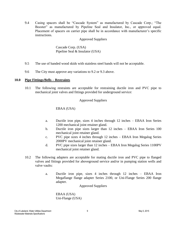9.4 Casing spacers shall be "Cascade System" as manufactured by Cascade Corp.; "The Booster" as manufactured by Pipeline Seal and Insulator, Inc., or approved equal. Placement of spacers on carrier pipe shall be in accordance with manufacturer's specific instructions.

Approved Suppliers

Cascade Corp. (USA) Pipeline Seal & Insulator (USA)

- 9.5 The use of banded wood skids with stainless steel bands will not be acceptable.
- 9.6 The City must approve any variations to 9.2 or 9.3 above.

#### **10.0 Pipe Fittings/Bells – Restraints**

10.1 The following restraints are acceptable for restraining ductile iron and PVC pipe to mechanical joint valves and fittings provided for underground service:

## Approved Suppliers

EBAA (USA)

- a. Ductile iron pipe, sizes 4 inches through 12 inches EBAA Iron Series 1200 mechanical joint retainer gland.
- b. Ductile iron pipe sizes larger than 12 inches EBAA Iron Series 100 mechanical joint retainer gland.
- c. PVC pipe sizes 4 inches through 12 inches EBAA Iron Megalug Series 2000PV mechanical joint retainer gland.
- d. PVC pipe sizes larger than 12 inches EBAA Iron Megalug Series 1100PV mechanical joint retainer gland.
- 10.2 The following adapters are acceptable for mating ductile iron and PVC pipe to flanged valves and fittings provided for aboveground service and/or in pumping station wells and valve vaults:
	- a. Ductile iron pipe, sizes 4 inches through 12 inches EBAA Iron Megaflange flange adapter Series 2100, or Uni-Flange Series 200 flange adapter.

Approved Suppliers

EBAA (USA) Uni-Flange (USA)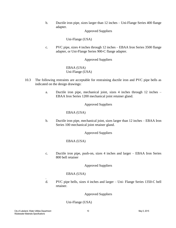b. Ductile iron pipe, sizes larger than 12 inches – Uni-Flange Series 400 flange adapter.

Approved Suppliers

Uni-Flange (USA)

c. PVC pipe, sizes 4 inches through 12 inches – EBAA Iron Series 3500 flange adapter, or Uni-Flange Series 900-C flange adapter.

Approved Suppliers

EBAA (USA) Uni-Flange (USA)

- 10.3 The following restraints are acceptable for restraining ductile iron and PVC pipe bells as indicated on the design drawings:
	- a. Ductile iron pipe, mechanical joint, sizes 4 inches through 12 inches EBAA Iron Series 1200 mechanical joint retainer gland.

Approved Suppliers

EBAA (USA)

b. Ductile iron pipe, mechanical joint, sizes larger than 12 inches – EBAA Iron Series 100 mechanical joint retainer gland.

Approved Suppliers

EBAA (USA)

c. Ductile iron pipe, push-on, sizes 4 inches and larger – EBAA Iron Series 800 bell retainer

Approved Suppliers

# EBAA (USA)

d. PVC pipe bells, sizes 4 inches and larger – Uni- Flange Series 1350-C bell retainer.

Approved Suppliers

Uni-Flange (USA)

.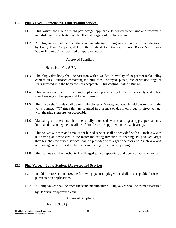# **11.0 Plug Valves – Forcemains (Underground Service)**

- 11.1 Plug valves shall be of round port design, applicable to buried forcemains and forcemain manifold vaults, to better enable efficient pigging of the forcemain.
- 11.2 All plug valves shall be from the same manufacturer. Plug valves shall be as manufactured by Henry Pratt Company, 401 South Highland Av., Aurora, Illinois 60506-5563, Figure 550 or Figure 551 as specified or approved equal.

# Approved Suppliers

# Henry Pratt Co. (USA)

- 11.3 The plug valve body shall be cast iron with a welded-in overlay of 90 percent nickel alloy content on all surfaces contacting the plug face. Sprayed, plated, nickel welded rings or seats screwed into the body are not acceptable. Plug coating shall be Buna-N.
- 11.4 Plug valves shall be furnished with replaceable permanently lubricated sleeve type stainless steel bearings in the upper and lower journals.
- 11.5 Plug valve shaft seals shall be multiple U-cap or V type, replaceable without removing the valve bonnet. "O" rings that are retained in a bronze or delrin cartridge in direct contact with the plug stem are not acceptable.
- 11.6 Manual gear operators shall be totally enclosed worm and gear type, permanently lubricated. Gear segment shall be of ductile iron, supported on bronze bearings.
- 11.7 Plug valves 6 inches and smaller for buried service shall be provided with a 2 inch AWWA nut having an arrow cast in the meter indicating direction of opening. Plug valves larger than 6 inches for buried service shall be provided with a gear operator and 2 inch AWWA nut having an arrow cast in the meter indicating direction of opening.
- 11.8 Plug valves shall be mechanical or flanged joint as specified, and open counter-clockwise.

# **12.0 Plug Valves – Pump Stations (Aboveground Service)**

- 12.1 In addition to Section 11.0, the following specified plug valve shall be acceptable for use in pump station applications.
- 12.2 All plug valves shall be from the same manufacturer. Plug valves shall be as manufactured by DeZurik, or approved equal.

Approved Suppliers

DeZuric (USA)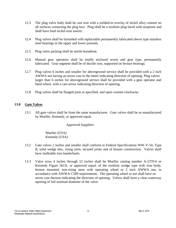- 12.3 The plug valve body shall be cast iron with a welded-in overlay of nickel alloy content on all surfaces contacting the plug face. Plug shall be a resilient plug faced with neoprene and shall have hard nickel-iron inserts.
- 12.4 Plug valves shall be furnished with replaceable permanently lubricated sleeve type stainless steel bearings in the upper and lower journals.
- 12.5 Plug valve packing shall be nitrile-butadiene.
- 12.6 Manual gear operators shall be totally enclosed worm and gear type, permanently lubricated. Gear segment shall be of ductile iron, supported on bronze bearings.
- 12.7 Plug valves 6 inches and smaller for aboveground service shall be provided with a 2 inch AWWA nut having an arrow cast in the meter indicating direction of opening. Plug valves larger than 6 inches for aboveground service shall be provided with a gear operator and hand wheel, with a cast arrow indicating direction of opening.
- 12.8 Plug valves shall be flanged joint as specified, and open counter-clockwise.

# **13.0 Gate Valves**

13.1 All gate valves shall be from the same manufacturer. Gate valves shall be as manufactured by Mueller, Kennedy, or approved equal.

# Approved Suppliers

Mueller (USA) Kennedy (USA)

- 13.2 Gate valves 2 inches and smaller shall conform to Federal Specifications WW-V-54, Type II, solid wedge disc, rising stem, secured joints and of bronze construction. Valves shall have malleable iron handwheels.
- 13.3 Valve sizes 4 inches through 12 inches shall be Mueller catalog number A-2370-6 or Kennedy Figure 561X, or approved equal, of the resilient wedge type with iron body, bronze mounted, non-rising stem with operating wheel or 2 inch AWWA nut, in accordance with AWWA C509 requirements. The operating wheel or nut shall have an arrow cast thereon indicating the direction of opening. Valves shall have a clear waterway opening of full nominal diameter of the valve.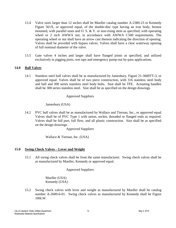- 13.4 Valve sizes larger than 12 inches shall be Mueller catalog number A-2380-23 or Kennedy Figure 561X, or approved equal, of the double-disc type having an iron body, bronze mounted, with parallel seats and O. S.  $\&$  Y. or non-rising stem as specified, with operating wheel or 2 inch AWWA nut, in accordance with AWWA C500 requirements. The operating wheel or nut shall have an arrow cast thereon indicating the direction of opening. Valves shall be provided with bypass valves. Valves shall have a clear waterway opening of full nominal diameter of the valve.
- 13.5 Gate valves 4 inches and larger shall have flanged joints as specified, and utilized exclusively in pigging ports, wet taps and emergency pump-out by-pass applications.

## **14.0 Ball Valves**

14.1 Stainless steel ball valves shall be as manufactured by Jamesbury, Figure 21-3600TT-3, or approved equal. Valves shall be of two piece construction, with 316 stainless steel body and ball and 300 series stainless steel body bolts. Seat shall be TFE. Actuating handles shall be 300 series stainless steel. Size shall be as specified on the design drawings.

#### Approved Suppliers

## Jamesbury (USA)

14.2 PVC ball valves shall be as manufactured by Wallace and Tiernan, Inc., or approved equal Valves shall be of PVC Type 1 with union, socket, threaded or flanged ends as required. Valves shall be full port, full flow, and all plastic construction. Size shall be as specified on the design drawings.

Approved Suppliers

Wallace & Tiernan, Inc. (USA)

#### **15.0 Swing Check Valves – Lever and Weight**

15.1 All swing check valves shall be from the same manufacturer. Swing check valves shall be as manufactured by Mueller, Kennedy or approved equal.

Approved Suppliers

Mueller (USA) Kennedy (USA)

15.2 Swing check valves with lever and weight as manufactured by Mueller shall be catalog number A-2600-6-01. Swing check valves as manufactured by Kennedy shall be Figure 106LW.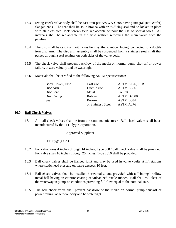- 15.3 Swing check valve body shall be cast iron per AWWA C508 having integral (not Wafer) flanged ends. The seat shall be solid bronze with an "O" ring seal and be locked in place with stainless steel lock screws field replaceable without the use of special tools. All internals shall be replaceable in the field without removing the main valve from the pipeline.
- 15.4 The disc shall be cast iron, with a resilient synthetic rubber facing, connected to a ductile iron disc arm. The disc arm assembly shall be suspended from a stainless steel shaft that passes through a seal retainer on both sides of the valve body.
- 15.5 The check valve shall prevent backflow of the media on normal pump shut-off or power failure, at zero velocity and be watertight.
- 15.6 Materials shall be certified to the following ASTM specifications:

| Body, Cover, Disc | Cast iron          | ASTM A126, C1B |
|-------------------|--------------------|----------------|
| Disc Arm          | Ductile iron       | ASTM A536      |
| Disc Seat         | Metal              | To Suit        |
| Disc Facing       | Rubber             | ASTM D2000     |
| Seat              | <b>Bronze</b>      | ASTM B584      |
|                   | or Stainless Steel | ASTM A276      |

## **16.0 Ball Check Valves**

16.1 All ball check valves shall be from the same manufacturer. Ball check valves shall be as manufactured by the ITT Flygt Corporation.

Approved Suppliers

ITT Flygt (USA)

- 16.2 For valve sizes 4 inches through 14 inches, Type 5087 ball check valve shall be provided. For valve sizes 16 inches through 20 inches, Type 2016 shall be provided.
- 16.3 Ball check valves shall be flanged joint and may be used in valve vaults at lift stations where static head pressure on valve exceeds 10 feet.
- 16.4 Ball check valves shall be installed horizontally, and provided with a "sinking" hollow metal ball having an exterior coating of vulcanized nitrile rubber. Ball shall roll clear of the waterway in pump-on conditions providing full flow equal to the nominal size.
- 16.5 The ball check valve shall prevent backflow of the media on normal pump shut-off or power failure, at zero velocity and be watertight.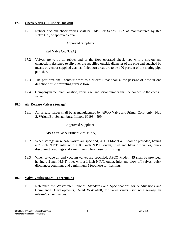## **17.0 Check Valves – Rubber Duckbill**

17.1 Rubber duckbill check valves shall be Tide-Flex Series TF-2, as manufactured by Red Valve Co., or approved equal.

## Approved Suppliers

Red Valve Co. (USA)

- 17.2 Valves are to be all rubber and of the flow operated check type with a slip-on end connection, designed to slip over the specified outside diameter of the pipe and attached by means of vendor supplied clamps. Inlet port areas are to be 100 percent of the mating pipe port size.
- 17.3 The port area shall contour down to a duckbill that shall allow passage of flow in one direction while preventing reverse flow.
- 17.4 Company name, plant location, valve size, and serial number shall be bonded to the check valve.

#### **18.0 Air Release Valves (Sewage)**

18.1 Air release valves shall be as manufactured by APCO Valve and Primer Corp. only, 1420 S. Wright Bl., Schaumburg, Illinois 60193-4599.

# Approved Suppliers

# APCO Valve & Primer Corp. (USA)

- 18.2 When sewage air release valves are specified, APCO Model 400 shall be provided, having a 2 inch N.P.T. inlet with a 0.5 inch N.P.T. outlet, inlet and blow off valves, quick disconnect couplings and a minimum 5 foot hose for flushing.
- 18.3 When sewage air and vacuum valves are specified, APCO Model **445** shall be provided, having a 2 inch N.P.T. inlet with a 1 inch N.P.T. outlet, inlet and blow off valves, quick disconnect couplings and a minimum 5 foot hose for flushing.

#### **19.0 Valve Vaults/Boxes – Forcemains**

19.1 Reference the Wastewater Policies, Standards and Specifications for Subdivisions and Commercial Developments, Detail **WWS-008,** for valve vaults used with sewage air release/vacuum valves.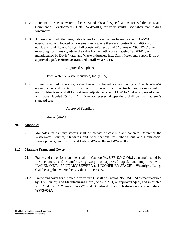- 19.2 Reference the Wastewater Policies, Standards and Specifications for Subdivisions and Commercial Developments, Detail **WWS-010,** for valve vaults used when manifolding forcemains.
- 19.3 Unless specified otherwise, valve boxes for buried valves having a 2 inch AWWA operating nut and located on forcemain runs where there are non-traffic conditions or outside of road rights-of-ways shall consist of a section of 6" diameter C900 PVC pipe extending from finish grade to the valve bonnet with a cover labeled "SEWER", as manufactured by Davis Water and Waste Industries, Inc., Davis Meter and Supply Div., or approved equal. **Reference standard detail WWS-014.**

# Approved Suppliers

# Davis Water & Waste Industries, Inc. (USA)

19.4 Unless specified otherwise, valve boxes for buried valves having a 2 inch AWWA operating nut and located on forcemain runs where there are traffic conditions or within road rights-of-ways shall be cast iron, adjustable type, CLOW F-2454 or approved equal, with cover labeled "SEWER". Extension pieces, if specified, shall be manufacturer's standard type.

# Approved Suppliers

# CLOW (USA)

# **20.0 Manholes**

20.1 Manholes for sanitary sewers shall be precast or cast-in-place concrete. Reference the Wastewater Policies, Standards and Specifications for Subdivisions and Commercial Developments, Section 7.5, and Details **WWS-004 a**nd **WWS-005.**

# **21.0 Manhole Frame and Cover**

- 21.1 Frame and cover for manholes shall be Catalog No. USF 420-G-ORS as manufactured by U.S. Foundry and Manufacturing Corp., or approved equal, and imprinted with "LAKELAND", "SANITARY SEWER", and "CONFINED SPACE". Watertight fittings shall be supplied where the City deems necessary.
- 21.2 Frame and cover for air release valve vaults shall be Catalog No. **USF 324** as manufactured by U.S. Foundry and Manufacturing Corp., or as in 21.1, or approved equal, and imprinted with "Lakeland", "Sanitary ARV", and "Confined Space". **Reference standard detail WWS-009A**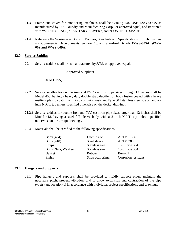- 21.3 Frame and cover for monitoring manholes shall be Catalog No. USF 420-G0ORS as manufactured by U.S. Foundry and Manufacturing Corp., or approved equal, and imprinted with "MONITORING", "SANITARY SEWER", and "CONFINED SPACE".
- 21.4 Reference the Wastewater Division Policies, Standards and Specifications for Subdivisions and Commercial Developments, Section 7.5, and **Standard Details WWS-005A, WWS-009 and WWS-009A.**

#### **22.0 Service Saddles**

22.1 Service saddles shall be as manufactured by JCM, or approved equal.

#### Approved Suppliers

#### JCM (USA)

- 22.2 Service saddles for ductile iron and PVC cast iron pipe sizes through 12 inches shall be Model 406, having a heavy duty double strap ductile iron body fusion coated with a heavy resilient plastic coating with two corrosion resistant Type 304 stainless steel straps, and a 2 inch N.P.T. tap unless specified otherwise on the design drawings.
- 21.2.1 Service saddles for ductile iron and PVC cast iron pipe sizes larger than 12 inches shall be Model 418, having a steel full sleeve body with a 2 inch N.P.T. tap unless specified otherwise on the design drawings.
- 22.4 Materials shall be certified to the following specifications:

| Body (404)           | Ductile iron     | ASTM A536           |
|----------------------|------------------|---------------------|
| Body (418)           | Steel sleeve     | <b>ASTM 285</b>     |
| <b>Straps</b>        | Stainless steel  | 18-8 Type 304       |
| Bolts, Nuts, Washers | Stainless steel  | 18-8 Type 304       |
| Gasket               | Rubber           | Buna-N              |
| Finish               | Shop coat primer | Corrosion resistant |

#### **23.0 Hangers and Supports**

23.1 Pipe hangers and supports shall be provided to rigidly support pipes, maintain the necessary pitch, prevent vibration, and to allow expansion and contraction of the pipe type(s) and location(s) in accordance with individual project specifications and drawings.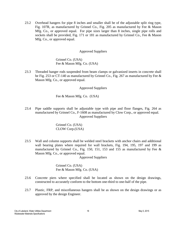23.2 Overhead hangers for pipe 8 inches and smaller shall be of the adjustable split ring type, Fig. 107R, as manufactured by Grinnel Co., Fig. 205 as manufactured by Fee & Mason Mfg. Co., or approved equal. For pipe sizes larger than 8 inches, single pipe rolls and sockets shall be provided, Fig. 171 or 181 as manufactured by Grinnel Co., Fee & Mason Mfg. Co., or approved equal.

## Approved Suppliers

Grinnel Co. (USA) Fee & Mason Mfg. Co. (USA)

23.3 Threaded hanger rods suspended from beam clamps or galvanized inserts in concrete shall be Fig. 253 or CT-140 as manufactured by Grinnel Co., Fig. 267 as manufactured by Fee & Mason Mfg. Co., or approved equal.

## Approved Suppliers

Fee & Mason Mfg. Co. (USA)

23.4 Pipe saddle supports shall be adjustable type with pipe and floor flanges, Fig. 264 as manufactured by Grinnel Co., F-1608 as manufactured by Clow Corp., or approved equal. Approved Suppliers

> Grinnel Co. (USA) CLOW Corp.(USA)

23.5 Wall and column supports shall be welded steel brackets with anchor chairs and additional wall bearing plates where required for wall brackets, Fig. 194, 195, 197 and 199 as manufactured by Grinnel Co., Fig. 150, 151, 153 and 155 as manufactured by Fee  $\&$ Mason Mfg. Co., or approved equal.

Approved Suppliers

Grinnel Co. (USA) Fee & Mason Mfg. Co. (USA)

- 23.6 Concrete piers where specified shall be located as shown on the design drawings, constructed to accurately conform to the bottom one-third to one-half of the pipe.
- 23.7 Plastic, FRP, and miscellaneous hangers shall be as shown on the design drawings or as approved by the design Engineer.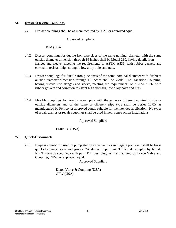## **24.0 Dresser/Flexible Couplings**

24.1 Dresser couplings shall be as manufactured by JCM, or approved equal.

## Approved Suppliers

## JCM (USA)

- 24.2 Dresser couplings for ductile iron pipe sizes of the same nominal diameter with the same outside diameter dimension through 16 inches shall be Model 210, having ductile iron flanges and sleeve, meeting the requirements of ASTM A536, with rubber gaskets and corrosion resistant high strength, low alloy bolts and nuts.
- 24.3 Dresser couplings for ductile iron pipe sizes of the same nominal diameter with different outside diameter dimension through 16 inches shall be Model 212 Transition Coupling, having ductile iron flanges and sleeve, meeting the requirements of ASTM A536, with rubber gaskets and corrosion resistant high strength, low alloy bolts and nuts.
- 24.4 Flexible couplings for gravity sewer pipe with the same or different nominal inside or outside diameters and of the same or different pipe type shall be Series 10XX as manufactured by Fernco, or approved equal, suitable for the intended application. No types of repair clamps or repair couplings shall be used in new construction installations.

#### Approved Suppliers

# FERNCO (USA)

# **25.0 Quick-Disconnects**

25.1 By-pass connection used in pump station valve vault or in pigging port vault shall be brass quick-disconnect cam and groove "Andrews" type, part 'D' female coupler by female N.P.T. (size as specified) with part 'DP' dust plug, as manufactured by Dixon Valve and Coupling, OPW, or approved equal.

Approved Suppliers

Dixon Valve & Coupling (USA) OPW (USA)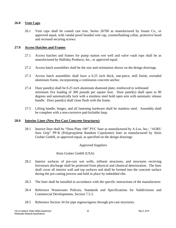## **26.0 Vent Caps**

26.1 Vent caps shall be coated cast iron, Series 26700 as manufactured by Josam Co., or approved equal, with vandal proof hooded vent cap, counterflashing collar, protective hood and recessed securing screws.

## **27.0 Access Hatches and Frames**

- 27.1 Access hatches and frames for pump station wet well and valve vault tops shall be as manufactured by Halliday Products, Inc., or approved equal.
- 27.2 Access hatch assemblies shall be the size and orientation shown on the design drawings.
- 27.3 Access hatch assemblies shall have a 0.25 inch thick, one-piece, mill finish, extruded aluminum frame, incorporating a continuous concrete anchor.
- 27.4 Door panel(s) shall be 0.25 inch aluminum diamond plate, reinforced to withstand minimum live loading of 300 pounds per square foot. Door panel(s) shall open to 90 degrees and automatically lock with a stainless steel hold open arm with automatic release handle. Door panel(s) shall close flush with the frame.
- 27.5 Lifting handle, hinges, and all fastening hardware shall be stainless steel. Assembly shall be complete with a non-corrosive pad-lockable hasp.

#### **28.0 Interior Liner (New Pre-Cast Concrete Structures)**

28.1 Interior liner shall be "Dura Plate 100" PVC liner as manufactured by A-Loc, Inc.; "AGRU Sure Grip" PP-R (Polypropylene Random Copolymer) liner as manufactured by Alois Gruber GmbH, or approved equal, as specified on the design drawings.

# Approved Suppliers

# Alois Gruber GmbH (USA)

- 28.2 Interior surfaces of pre-cast wet wells, influent structures, and structures receiving forcemain discharge shall be protected from physical and chemical deterioration. The liner shall cover all interior wall and top surfaces and shall be formed into the concrete surface during the pre-casting process and held in place by imbedded ribs.
- 28.3 The liner shall be installed in accordance with the specific instructions of the manufacturer.
- 28.4 Reference Wastewater Policies, Standards and Specifications for Subdivisions and Commercial Developments, Section 7.5.3.
- 28.5 Reference Section 34 for pipe ingress/egress through pre-cast structures.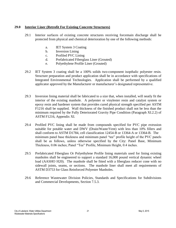# **29.0 Interior Liner (Retrofit For Existing Concrete Structures)**

- 29.1 Interior surfaces of existing concrete structures receiving forcemain discharge shall be protected from physical and chemical deterioration by one of the following methods:
	- a. IET System 3 Coating
	- b. Inversion Lining
	- c. Profiled PVC Lining
	- d. Prefabricated Fiberglass Liner (Grouted)
	- e. Polyethylene Profile Liner (Grouted)
- 29.2 IET System 3 coating shall be a 100% solids two-component isopthalic polyester resin. Structure preparation and product application shall be in accordance with specifications of Integrated Environmental Technologies. Application shall be performed by a qualified applicator approved by the Manufacturer or manufacturer's designated representative.
- 29.3 Inversion lining material shall be fabricated to a size that, when installed, will neatly fit the interior of the existing manhole. A polyester or vinylester resin and catalyst system or epoxy resin and hardener system that provides cured physical strength specified per ASTM F1216 shall be supplied. Wall thickness of the finished product shall not be less than the minimum required by the Fully Deteriorated Gravity Pipe Condition (Paragraph XI.2.2) of ASTM F1216, Appendix XI.
- 29.4 Profiled PVC lining shall be made from compounds specified for PVC pipe extrusion suitable for potable water and DWV (Drain/Waste/Vent) with less than 10% fillers and shall conform to ASTM D1784, cell classification 12454-B or 13364-A or 13364-B. The minimum panel base thickness and minimum panel "tee" profile height of the PVC panels shall be as follows, unless otherwise specified by the City: Panel Base, Minimum Thickness, 0.06 inches; Panel "Tee" Profile, Minimum Height, 0.4 inches.
- 29.5 Prefabricated Fiberglass Or Polyethylene Profile lining materials used for lining existing manholes shall be engineered to support a standard 16,000 pound vertical dynamic wheel load (AASHO H20). The manhole shall be fitted with a fiberglass reducer cone with no sidewall joints, seams, or sections. The manhole liner shall meet all requirements of ASTM D3753 for Glass Reinforced Polyester Manholes.
- 29.6 Reference Wastewater Division Policies, Standards and Specifications for Subdivisions and Commercial Developments, Section 7.5.3.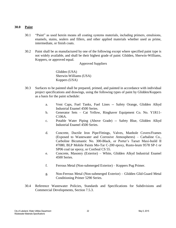## **30.0 Paint**

- 30.1 "Paint" as used herein means all coating systems materials, including primers, emulsions, enamels, stains, sealers and fillers, and other applied materials whether used as prime, intermediate, or finish coats.
- 30.2 Paint shall be as manufactured by one of the following except where specified paint type is not widely available, and shall be their highest grade of paint: Glidden, Sherwin-Williams, Koppers, or approved equal.

Approved Suppliers

Glidden (USA) Sherwin-Williams (USA) Koppers (USA)

- 30.3 Surfaces to be painted shall be prepared, primed, and painted in accordance with individual project specifications and drawings, using the following types of paint by Glidden/Koppers as a basis for the paint schedule:
	- a. Vent Caps, Fuel Tanks, Fuel Lines -- Safety Orange, Glidden Alkyd Industrial Enamel 4500 Series.
	- b. Generator Sets Cat Yellow, Ringhaver Equipment Co. No. Y1R11- C106A.
	- c. Potable Water Piping (Above Grade) -- Safety Blue, Glidden Alkyd Industrial Enamel 4500 Series.
	- d. Concrete, Ductile Iron Pipe/Fittings, Valves, Manhole Covers/Frames (Exposed to Wastewater and Corrosive Atmospheres) – Carbaline Co., Carboline Bicumastic No. 300-Black, or Porter's Tarset Maxi-build II #7080, BLP Mobile Paints Mo-Tar C-200 epoxy, Rusto-leum 9578 SP-1 or SP06 coal tar epoxy, or ConSeal CS 55.
	- e. Concrete, Masonry (Exterior) White, Glidden Alkyd Industrial Enamel 4500 Series.
	- f. Ferrous Metal (Non-submerged Exterior) Koppers Pug Primer.
	- g. Non-Ferrous Metal (Non-submerged Exterior) Glidden Glid-Guard Metal Conditioning Primer 5290 Series.
- 30.4 Reference Wastewater Policies, Standards and Specifications for Subdivisions and Commercial Developments, Section 7.5.3.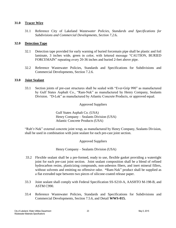## **31.0 Tracer Wire**

31.1 Reference City of Lakeland *Wastewater Policies, Standards and Specifications for Subdivisions and Commercial Developments, Section 7.2.*6**.**

## **32.0 Detection Tape**

- 32.1 Detection tape provided for early warning of buried forcemain pipe shall be plastic and foil laminate, 3 inches wide, green in color, with lettered message "CAUTION, BURIED FORCEMAIN" repeating every 20-36 inches and buried 2-feet above pipe.
- 32.2 Reference Wastewater Policies, Standards and Specifications for Subdivisions and Commercial Developments, Section 7.2.6.

#### **33.0 Joint Sealant**

33.1 Section joints of pre-cast structures shall be sealed with "Ever-Grip 990" as manufactured by Gulf States Asphalt Co., "Ram-Nek" as manufactured by Henry Company, Sealants Division. "D-Lok" as manufactured by Atlantic Concrete Products, or approved equal.

## Approved Suppliers

Gulf States Asphalt Co. (USA) Henry Company – Sealants Division (USA) Atlantic Concrete Products (USA)

"Rub'r-Nek" external concrete joint wrap, as manufactured by Henry Company, Sealants Division, shall be used in combination with joint sealant for each pre-cast joint section.

Approved Suppliers

Henry Company – Sealants Division (USA)

- 33.2 Flexible sealant shall be a pre-formed, ready to use, flexible gasket providing a watertight joint for each pre-cast joint section. Joint sealant composition shall be a blend of refined hydrocarbon resins, plasticizing compounds, non-asbestos fibers, and inert mineral fillers, without solvents and emitting no offensive odor. **"**Ram-Nek" product shall be supplied as a flat extruded tape between two pieces of silicone-coated release paper.
- 33.3 Joint sealant shall comply with Federal Specification SS-S210-A, AASHTO M-198-B, and ASTM C990.
- 33.4 Reference Wastewater Policies, Standards and Specifications for Subdivisions and Commercial Developments, Section 7.5.6, and Detail **WWS-015.**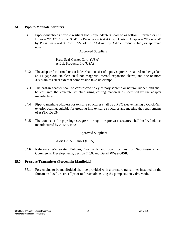## **34.0 Pipe-to-Manhole Adapters**

34.1 Pipe-to-manhole (flexible resilient boot) pipe adapters shall be as follows: Formed or Cut Holes – "PSX" Positive Seal" by Press Seal-Gasket Corp. Cast-in Adapter – "Econoseal" by Press Seal-Gasket Corp., "Z-Lok" or "A-Lok" by A-Lok Products, Inc., or approved equal.

## Approved Suppliers

Press Seal-Gasket Corp. (USA) A-Lok Products, Inc (USA)

- 34.2 The adapter for formed or cut holes shall consist of a polyisoprene or natural rubber gasket, an 11 gage 304 stainless steel non-magnetic internal expansion sleeve, and one or more 304 stainless steel external compression take-up clamps.
- 34.3 The cast-in adapter shall be constructed soley of polyisoprene or natural rubber, and shall be cast into the concrete structure using casting mandrels as specified by the adapter manufacturer.
- 34.4 Pipe-to manhole adapters for existing structures shall be a PVC sleeve having a Quick-Grit exterior coating, suitable for grouting into existing structures and meeting the requirements of ASTM D3034.
- 34.5 The connector for pipe ingress/egress through the pre-cast structure shall be "A-Lok" as manufactured by A-Loc, Inc.;

# Approved Suppliers

# Alois Gruber GmbH (USA)

34.6 Reference Wastewater Policies, Standards and Specifications for Subdivisions and Commercial Developments, Section 7.5.6, and Detail **WWS-005B.**

#### **35.0 Pressure Transmitter (Forcemain Manifolds)**

35.1 Forcemains to be manifolded shall be provided with a pressure transmitter installed on the forcemain "tee" or "cross" prior to forcemain exiting the pump station valve vault.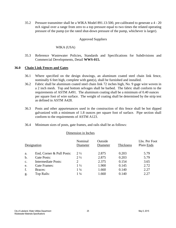35.2 Pressure transmitter shall be a WIKA Model 891.13-500, pre-calibrated to generate a 4 - 20 mA signal over a range from zero to a top pressure equal to two times the related operating pressure of the pump (or the rated shut-down pressure of the pump, whichever is larger).

## Approved Suppliers

## WIKA (USA)

35.3 Reference Wastewater Policies, Standards and Specifications for Subdivisions and Commercial Developments, Detail **WWS-015.**

#### **36.0 Chain Link Fences and Gates**

- 36.1 Where specified on the design drawings, an aluminum coated steel chain link fence, nominally 6 feet high, complete with gate(s), shall be furnished and installed.
- 36.2 Fabric shall be aluminum coated steel chain link 72 inches high, No. 9 gage wire woven in a 2 inch mesh. Top and bottom selvages shall be barbed. The fabric shall conform to the requirements of ASTM A491. The aluminum coating shall be a minimum of 0.40 ounces per square foot of wire surface. The weight of coating shall be determined by the strip test as defined in ASTM A428.
- 36.3 Posts and other appurtenances used in the construction of this fence shall be hot dipped galvanized with a minimum of 1.8 ounces per square foot of surface. Pipe section shall conform to the requirements of ASTM A123.
- 36.4 Minimum sizes of posts, gate frames, and rails shall be as follows:

#### Dimension in Inches

|                | Designation                | Nominal<br>Diameter | Outside<br>Diameter | Thickness | Lbs. Per Foot<br>Plain Ends |
|----------------|----------------------------|---------------------|---------------------|-----------|-----------------------------|
| a.             | End, Corner & Pull Posts:  | $2\frac{1}{2}$      | 2.875               | 0.203     | 5.79                        |
| $\mathbf b$ .  | Gate Posts:                | $2\frac{1}{2}$      | 2.875               | 0.203     | 5.79                        |
| $\mathbf{c}$ . | <b>Intermediate Posts:</b> | 2                   | 2.375               | 0.154     | 3.65                        |
| e.             | Gate Frames:               | $1\frac{1}{2}$      | 1.900               | 0.145     | 2.72                        |
| f.             | Braces:                    | $1\frac{1}{4}$      | 1.660               | 0.140     | 2.27                        |
| g.             | Top Rails:                 | $1\frac{1}{4}$      | 1.660               | 0.140     | 2.27                        |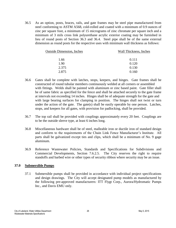36.5 As an option, posts, braces, rails, and gate frames may be steel pipe manufactured from steel conforming to ASTM A568, cold-rolled and coated with a minimum of 0.9 ounces of zinc per square foot, a minimum of 15 micrograms of zinc chromate per square inch and a minimum of 3 mils cross link polyurethane acrylic exterior coating may be furnished in lieu of round posts of Section 36.3 and 36.4. Steel pipe shall be of the same external dimension as round posts for the respective uses with minimum wall thickness as follows:

| <b>Outside Dimension, Inches</b> | Wall Thickness, Inches |
|----------------------------------|------------------------|
| 1.66                             | 0.111                  |
| 1.90                             | 0.120                  |
| 2.375                            | 0.130                  |
| 2.875                            | 0.160                  |
|                                  |                        |

- 36.6 Gates shall be complete with latches, stops, keepers, and hinges. Gate frames shall be constructed of round tubular members continuously welded at all corners or assembled with fittings. Welds shall be painted with aluminum or zinc based paint. Gate filler shall be of same fabric as specified for the fence and shall be attached securely to the gate frame at intervals not exceeding 14 inches. Hinges shall be of adequate strength for the gate and with large bearing surfaces for clamping in position. The hinges shall not twist or turn under the action of the gate. The gate(s) shall be easily operable by one person. Latches, stops, and keepers for all gates, with provision for padlocking, shall be provided.
- 36.7 The top rail shall be provided with couplings approximately every 20 feet. Couplings are to be the outside sleeve type, at least 6 inches long.
- 36.8 Miscellaneous hardware shall be of steel, malleable iron or ductile iron of standard design and conform to the requirements of the Chain Link Fence Manufacturer's Institute. All parts shall be galvanized except ties and clips, which shall be a minimum of No. 9 gage aluminum.
- 36.9 Reference Wastewater Policies, Standards and Specifications for Subdivisions and Commercial Developments, Section 7.6.2.5. The City reserves the right to require standoffs and barbed wire or other types of security ribbon where security may be an issue.

# **37.0 Submersible Pumps**

37.1 Submersible pumps shall be provided in accordance with individual project specifications and design drawings. The City will accept designated pump models as manufactured by the following pre-approved manufacturers: ITT Flygt Corp., Aurora/Hydromatic Pumps Inc., and Davis EMU only.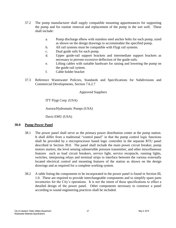- 37.2 The pump manufacturer shall supply compatible mounting appurtenances for supporting the pump and for routine removal and replacement of the pump in the wet well. These shall include:
	- a. Pump discharge elbow with stainless steel anchor bolts for each pump, sized as shown on the design drawings to accommodate the specified pump.
	- b. All rail systems must be compatible with Flygt rail systems.
	- c. Dual guide rails for each pump.
	- d. Upper guide-rail support brackets and intermediate support brackets as necessary to prevent excessive deflection of the guide-rails.
	- e. Lifting cables with suitable hardware for raising and lowering the pump on the guide-rail system.
	- f. Cable holder bracket
- 37.3 Reference Wastewater Policies, Standards and Specifications for Subdivisions and Commercial Developments, Section 7.6.2.7

# Approved Suppliers

ITT Flygt Corp. (USA)

Aurora/Hydromatic Pumps (USA)

Davis EMU (USA)

# **38.0 Pump Power Panel**

- 38.1 The power panel shall serve as the primary power distribution center at the pump station. It shall differ from a traditional "control panel" in that the pump control logic functions shall be provided by a microprocessor based logic controller in the separate RTU panel described in Section 39.0. The panel shall include the main power circuit breaker, pump motors starters, the level sensing submersible pressure transmitter, and other miscellaneous features such as load circuit breakers, service light, service receptacle, running lights, switches, interposing relays and terminal strips to interface between the various externally located electrical control and mounting features of the station as shown on the design drawings and as required for a complete working system.
- 38.2 A table listing the components to be incorporated in the power panel is found in Section III, 1.0. These are required to provide interchangeable components and to simplify spare parts inventories for the City's operations. It is not the intent of these specifications to effect a detailed design of the power panel. Other components necessary to construct a panel according to sound engineering practices shall be included.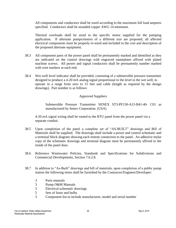All components and conductors shall be sized according to the maximum full load amperes specified. Conductors shall be stranded copper AWG 14 minimum.

Thermal overloads shall be sized to the specific motor supplied for the pumping application. If alternate pumps/motors of a different size are proposed, all affected electrical components must be properly re-sized and included in the cost and description of the proposed alternate equipment.

- 38.3 All component parts of the power panel shall be permanently marked and identified as they are indicated on the control drawings with engraved nameplates affixed with plated machine screws. All power and signal conductors shall be permanently number marked with wire markers at each end.
- 38.4 Wet well level indicator shall be provided, consisting of a submersible pressure transmitter designed to produce a 4-20 mA analog signal proportional to the level in the wet well, to operate in a range from zero to 15 feet and cable (length as required by the design drawings). Part number is as follows:

# Approved Suppliers

Submersible Pressure Transmitter SENEX ST3-PF150-A15-B41-40- C01 as manufactured by Senex Corporation. (USA)

4-20 mA signal wiring shall be routed to the RTU panel from the power panel via a separate conduit.

- 38.5 Upon completion of the panel a complete set of "AS-BUILT" drawings and Bill of Materials shall be supplied. The drawings shall include a power and control schematic and a terminal block diagram showing each remote connection to the panel. An adhesive mylar copy of the schematic drawings and terminal diagram must be permanently affixed to the inside of the panel door.
- 38.6 Reference Wastewater Policies, Standards and Specifications for Subdivisions and Commercial Developments, Section 7.6.2.8.
- 38.7 In addition to "As-Built" drawings and bill of materials, upon completion of a public pump station the following items shall be furnished by the Contractor/Engineer/Developer:
	- 3 Parts manuals
	- 3 Pump O&M Manuals
	- 3 Electrical schematic drawings
	- 5 Sets of fuses and bulbs
	- 3 Component list to include manufacturer, model and serial number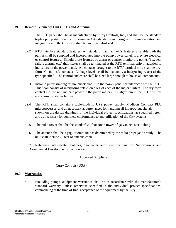# **39.0 Remote Telemetry Unit (RTU) and Antenna**

- 39.1 The RTU panel shall be as manufactured by Curry Controls, Inc., and shall be the standard triplex pump station unit conforming to City standards and designed for direct addition and integration into the City's existing telemetry/control system.
- 39.2 RTU interface standard features: All standard manufacturer's features available with the pumps shall be supplied and incorporated into the pump power panel, if they are electrical or control features. Should these features be alarm or control monitoring points (i.e., seal failure alarms, etc.) their status shall be terminated at the RTU terminal strip in addition to indicators on the power panel. All contacts brought to the RTU terminal strip shall be dryform 'C' fail safe contacts. Voltage levels shall be isolated via interposing relays of the type specified. The control enclosure shall be sized large enough to house all components.
- 39.3 Install a pump running failure check circuit in the power panel for interface with the RTU. This shall consist of interposing relays on a leg of each of the major starters. The dry-form contact closure will indicate power to the pump motors. An algorithm in the RTU will test and alarm for starter failure.
- 39.4 The RTU shall contain a radio/modem, UPS power supply, Modicon Compact PLC microprocessor, and all necessary appurtenances for handling all input/output signals shown on the design drawings, in the individual project specifications, as specified herein and as necessary for complete conformance to and utilization of the City systems.
- 39.5 The radio tower shall be the standard 20 foot Rohn tower of galvanized steel tubing.
- 39.6 The antenna shall be a yagi or omni unit as determined by the radio propagation study. The unit shall include 20 feet of antenna cable.
- 39.7 Reference Wastewater Policies, Standards and Specifications for Subdivisions and Commercial Developments, Section 7.6.2.8

#### Approved Suppliers

# Curry Controls (USA)

# **40.0 Warranties**

40.1 Excluding pumps, equipment warranties shall be in accordance with the manufacturer's standard warranty, unless otherwise specified in the individual project specifications, commencing at the time of final acceptance of the equipment by the City.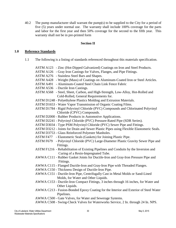40.2 The pump manufacturer shall warrant the pump(s) to be supplied to the City for a period of five (5) years under normal use. The warranty shall include 100% coverage for the parts and labor for the first year and then 50% coverage for the second to the fifth year. This warranty shall not be in pre-printed form

# **Section II**

## **1.0 Reference Standards**

1.1 The following is a listing of standards referenced throughout this materials specification.

|           | ASTM A123 - Zinc (Hot-Dipped Galvanized) Coatings on Iron and Steel Products.           |
|-----------|-----------------------------------------------------------------------------------------|
| ASTM A126 | - Gray Iron Castings for Valves, Flanges, and Pipe Fittings.                            |
| ASTM A276 | - Stainless Steel Bars and Shapes.                                                      |
|           | ASTM A428 - Weight (Mass) of Coatings on Aluminum-Coated Iron or Steel Articles.        |
|           | ASTM A491 - Aluminum-Coated Steel Chain Link Fence Fabric                               |
|           | ASTM A536 - Ductile Iron Castings.                                                      |
|           | ASTM A568 - Steel, Sheet, Carbon, and High-Strength, Low-Alloy, Hot-Rolled and          |
|           | Cold-Rolled, General Requirements for.                                                  |
|           | ASTM D1248 - Polyethylene Plastics Molding and Extrusion Materials.                     |
|           | ASTM D1653 - Water Vapor Transmission of Organic Coating Films.                         |
|           | ASTM D1784 - Rigid Polyvinyl Chloride (PVC) Compounds and Chlorinated Polyvinyl         |
|           | Chloride (CPVC) Compounds.                                                              |
|           | ASTM D2000 - Rubber Products in Automotive Applications.                                |
|           | ASTM D2241 - Polyvinyl Chloride (PVC) Pressure-Rated Pipe (SDR Series).                 |
|           | ASTM D3034 - Type PSM Polyvinyl Chloride (PVC) Sewer Pipe and Fittings.                 |
|           | ASTM D3212 - Joints for Drain and Sewer Plastic Pipes using Flexible Elastomeric Seals. |
|           | ASTM D3753 - Glass Reinforced Polyester Manholes.                                       |
|           | ASTM F477 - Elastomeric Seals (Gaskets) for Joining Plastic Pipe.                       |
|           | ASTM F679 - Polyvinyl Chloride (PVC) Large-Diameter Plastic Gravity Sewer Pipe and      |
|           | Fittings.                                                                               |
|           | ASTM F1216 - Rehabilitation of Existing Pipelines and Conduits by the Inversion and     |
|           | Curing of a Resin-Impregnated Tube.                                                     |
|           | AWWA C111 - Rubber Gasket Joints for Ductile-Iron and Gray-Iron Pressure Pipe and       |
|           | Fittings.                                                                               |
|           | AWWA C115 - Flanged Ductile-Iron and Gray-Iron Pipe with Threaded Flanges.              |
|           | AWWA C150 - Thickness Design of Ductile-Iron Pipe.                                      |
|           | AWWA C151 - Ductile-Iron Pipe, Centrifugally Cast in Metal Molds or Sand-Lined          |
|           | Molds, for Water and Other Liquids.                                                     |
|           | AWWA C153 - Ductile-Iron Compact Fittings, 3 inches through 16 inches, for Water and    |
|           | Other Liquids.                                                                          |
|           | AWWA C213 - Fusion-Bonded Epoxy Coating for the Interior and Exterior of Steel Water    |
|           | Pipelines.                                                                              |
|           | AWWA C500 - Gate Valves, for Water and Sewerage Systems.                                |
|           | AWWA C508 - Swing-Check Valves for Waterworks Service, 2 In. through 24 In. NPS.        |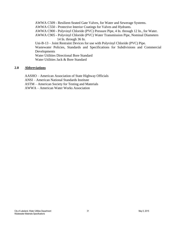AWWA C509 - Resilient-Seated Gate Valves, for Water and Sewerage Systems.

AWWA C550 - Protective Interior Coatings for Valves and Hydrants.

AWWA C900 - Polyvinyl Chloride (PVC) Pressure Pipe, 4 In. through 12 In., for Water.

AWWA C905 - Polyvinyl Chloride (PVC) Water Transmission Pipe, Nominal Diameters 14 In. through 36 In.

Uni-B-13 – Joint Restraint Devices for use with Polyvinyl Chloride (PVC) Pipe.

Wastewater Policies, Standards and Specifications for Subdivisions and Commercial Developments

Water Utilities Directional Bore Standard Water Utilities Jack & Bore Standard

# **2.0 Abbreviations**

AASHO – American Association of State Highway Officials

ANSI – American National Standards Institute

ASTM – American Society for Testing and Materials

AWWA – American Water Works Association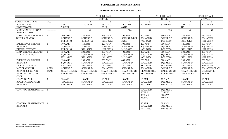#### **SUBMERSIBLE PUMP STATIONS**

## **POWER PANEL SPECIFICATIONS**

|                             |              |                   |                 | <b>THREE PHASE</b> |                     | <b>THREE PHASE</b> |                   | <b>SINGLE PHASE</b> |                       |
|-----------------------------|--------------|-------------------|-----------------|--------------------|---------------------|--------------------|-------------------|---------------------|-----------------------|
|                             |              |                   |                 | 240 Volts          |                     |                    | 480 Volts         |                     | 240 Volts             |
| POWER PANEL TYPE            | NO.          |                   | $\overline{2}$  | $\mathfrak{Z}$     | $\overline{4}$      | 5                  | 6                 | $\overline{7}$      | 8                     |
| PUMP SIZE IN                | ------------ | 3 TO              | 8 TO 15 HP      | 15 1/2 TO          | 29 1/2 TO           | $30 - 50$ HP       | 51-100 HP         | 2 TO 7 1/2          | 8 TO 10 HP            |
| <b>HORSEPOWER</b>           |              | $71/2$ HP         |                 | 29 HP              | 40 HP               |                    |                   | HP                  |                       |
| <b>MAXIMUM FULL LOAD</b>    | ------------ | 22                | 42              | 80                 | 104                 | 65                 | 124               | 40                  | 50                    |
| <b>AMPS PER PUMP</b>        |              |                   |                 |                    |                     |                    |                   |                     |                       |
| <b>MAIN CIRCUIT BREAKER</b> |              | <b>100 AMP</b>    | <b>150 AMP</b>  | 225 AMP            | 300 AMP             | <b>200 AMP</b>     | 350 AMP           | <b>125 AMP</b>      | <b>150 AMP</b>        |
| <b>DUPLEX STATION</b>       |              | <b>SQUARE D</b>   | <b>SQUARE D</b> | <b>SQUARE D</b>    | <b>SQUARE D LHL</b> | <b>SQUARE D</b>    | <b>SQUARE D</b>   | <b>SQUARE D</b>     | <b>SQUARE D</b>       |
|                             |              | FHL 36100         | KHL 36150       | KHL 36225          | 36300               | <b>KCL 34200</b>   | LCL 36350         | KHL 26125           | KHL 26150             |
| <b>EMERGENCY CIRCUIT</b>    |              | <b>100 AMP</b>    | <b>150 AMP</b>  | 225 AMP            | 300 AMP             | <b>200 AMP</b>     | 350 AMP           | <b>125 AMP</b>      | <b>150 AMP</b>        |
| <b>BREAKER</b>              |              | <b>SQUARE D</b>   | <b>SQUARE D</b> | <b>SQUARE D</b>    | <b>SQUARE D</b>     | <b>SQUARE D</b>    | <b>SQUARE D</b>   | <b>SQUARE D</b>     | <b>SQUARE D</b>       |
| <b>DUPLEX STATION</b>       |              | FHL 36100         | KHL 36150       | KHL 36225          | LHL 36300           | <b>KCL 34200</b>   | LCL 36350         | KHL 26125           | KHL 26150             |
| <b>MAIN CIRCUIT BREAKER</b> |              | <b>150 AMP</b>    | <b>200 AMP</b>  | 350 AMP            | <b>400 AMP</b>      | <b>250 AMP</b>     | <b>500 AMP</b>    | <b>200 AMP</b>      | <b>250 AMP</b>        |
| <b>TRIPLEX STATION</b>      |              | <b>SQUARE D</b>   | <b>SQUARE D</b> | <b>SQUARE D</b>    | <b>SQUARE D</b>     | <b>SQUARE D</b>    | <b>SQUARE D</b>   | <b>SQUARE D</b>     | <b>SQUARE D</b>       |
|                             |              | KHL 36150         | KHL 36200       | LCL 36350          | LHL 36400           | <b>KCL 34250</b>   | <b>LCL 36500</b>  | KHL 26200           | KHL 26250             |
| <b>EMERGENCY CIRCUIT</b>    |              | <b>150 AMP</b>    | <b>200 AMP</b>  | 350 AMP            | <b>400 AMP</b>      | <b>250 AMP</b>     | <b>500 AMP</b>    | <b>200 AMP</b>      | <b>250 AMP</b>        |
| <b>BREAKER</b>              |              | <b>SQUARE D</b>   | <b>SQUARE D</b> | <b>SQUARE D</b>    | <b>SQUARE D</b>     | <b>SQUARE D</b>    | <b>SQUARE D</b>   | <b>SQUARE D</b>     | <b>SQUARE D</b>       |
| TRIPLEX STATION             |              | KHL 36150         | KHL 36200       | LCL 36350          | LHL 36400           | <b>KCL 34250</b>   | <b>LCL 36500</b>  | KHL 26200           | KHL 26250             |
| <b>MOTOR CIRCUIT</b>        | 1 PER        | <b>SQUARE D</b>   | <b>SQUARE D</b> | <b>SQUARE D</b>    | <b>SQUARE D</b>     | <b>SQUARE D</b>    | <b>SQUARE D</b>   | <b>SQUARE D</b>     | <b>SQUARE D CLASS</b> |
| <b>BREAKER (SIZE PER</b>    | <b>PUMP</b>  | CLASS 680, 685    | CLASS 680, 685  | CLASS 680, 685     | CLASS 680, 685      | CLASS 680 685      | CALSS 680 685     | CLASS 680, 685      | 680, 685 FHL          |
| NATIONAL ELECTRIC           |              | <b>FHL SERIES</b> | FHL SERIES      | <b>FHL SERIES</b>  | <b>KHL SERIES</b>   | <b>KCL SERIES</b>  | <b>KCL SERIES</b> | <b>FHL SERIES</b>   | <b>SERIES</b>         |
| CODE)                       |              |                   |                 |                    |                     |                    |                   |                     |                       |
| <b>CONVENIENCE</b>          |              | <b>15 AMP</b>     | <b>15 AMP</b>   | <b>15 AMP</b>      | <b>15 AMP</b>       | $15$ AMP           | <b>15 AMP</b>     | <b>15 AMP</b>       | <b>15 AMP</b>         |
| RECEPTACLE CIRCUIT          |              | <b>SQUARE D</b>   | <b>SQUARE D</b> | <b>SQUARE D</b>    | <b>SQUARE D</b>     | <b>SQUARE D</b>    | <b>SQUARE D</b>   | <b>SQUARE D</b>     | <b>SQUARE D</b>       |
| <b>BREAKER</b>              |              | FHL 16015         | FHL 16015       | FHL 16015          | FHL 16015           | FHL 16015          | FHL 16015         | FHL 16015           | FHL 16015             |
|                             |              |                   |                 |                    |                     |                    |                   |                     |                       |
| <b>CONTROL TRANSFORMER</b>  |              |                   |                 |                    |                     | <b>SQUARE D</b>    | <b>SQUARE D</b>   |                     |                       |
|                             |              |                   |                 |                    |                     | TYPE K             | TYPE K            |                     |                       |
|                             |              |                   |                 |                    |                     | 3000 VA            | 3000 VA           |                     |                       |
|                             |              |                   |                 |                    |                     | 480:120            | 480:120           |                     |                       |
|                             |              |                   |                 |                    |                     |                    |                   |                     |                       |
| <b>CONTROL TRANSFORMER</b>  |              |                   |                 |                    |                     | <b>30 AMP</b>      | <b>30 AMP</b>     |                     |                       |
| <b>BREAKER</b>              |              |                   |                 |                    |                     | <b>SQUARE D</b>    | <b>SQUARE D</b>   |                     |                       |
|                             |              |                   |                 |                    |                     | FHL 16030          | FHL 16030         |                     |                       |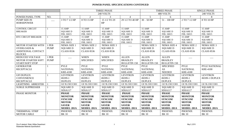|                            |             |                             |                    | <b>THREE PHASE</b> |                     | THREE PHASE         |                     |                    | <b>SINGLE PHASE</b> |
|----------------------------|-------------|-----------------------------|--------------------|--------------------|---------------------|---------------------|---------------------|--------------------|---------------------|
|                            |             |                             |                    | 240 VOLTS          |                     |                     | 480 VOLTS           |                    | 240 VOLTS           |
| POWER PANEL TYPE           | NO.         |                             | $\overline{2}$     | 3                  | $\overline{4}$      | $\overline{5}$      | 6                   | $\tau$             | 8                   |
| <b>PUMP SIZE IN</b>        |             | $\overline{3}$ TO $71/2$ HP | 8 TO 15 HP         | 15 1/2 TO 29       | 29 1/2 TO 40 HP     | $30 - 50$ HP        | $51 - 100$ HP       | 2 TO 7 1/2 HP      | 8 TO 10 HP          |
| <b>HORSEPOWER</b>          |             |                             |                    | HP                 |                     |                     |                     |                    |                     |
| <b>CONTROL CIRCUIT</b>     |             | <b>15 AMP</b>               | <b>15 AMP</b>      | <b>15 AMP</b>      | <b>15 AMP</b>       | <b>15 AMP</b>       | <b>15 AMP</b>       | <b>15 AMP</b>      | <b>15 AMP</b>       |
| <b>BREAKER</b>             |             | <b>SQUARE D</b>             | <b>SQUARE D</b>    | <b>SQUARE D</b>    | <b>SQUARE D</b>     | <b>SQUARE D</b>     | <b>SQUARE D</b>     | <b>SQUARE D</b>    | <b>SQUARE D</b>     |
|                            |             | FHL 16015                   | FHL 16015          | FHL 16015          | FHL 16015           | FHL 16015           | FHL 16015           | FHL 16015          | FHL 16015           |
| <b>RTU CIRCUIT BREAKER</b> |             | <b>15 AMP</b>               | <b>15 AMP</b>      | <b>15 AMP</b>      | <b>15 AMP</b>       | <b>15 AMP</b>       | <b>15 AMP</b>       | <b>15 AMP</b>      | <b>15 AMP</b>       |
|                            |             | <b>SQUARE D</b>             | <b>SQUARE D</b>    | <b>SQUARE D</b>    | <b>SQUARE D</b>     | <b>SQUARE D</b>     | <b>SQUARE D</b>     | <b>SQUARE D</b>    | <b>SQUARE D</b>     |
|                            |             | FHL 16015                   | FHL 16015          | FHL 16015          | FHL 16015           | FHL 16015           | FHL 16015           | FHL 16015          | FHL 16015           |
| MOTOR STARTER WITH         | 1 PER       | <b>NEMA SIZE 1</b>          | <b>NEMA SIZE 2</b> | <b>NEMA SIZE 3</b> |                     | <b>NEMA SIZE 3</b>  | <b>NEMA SIZE 4</b>  | <b>NEMA SIZE 2</b> | <b>NEMA SIZE 3</b>  |
| <b>OVERLOADS &amp;</b>     | <b>PUMP</b> | <b>SQUARE D</b>             | <b>SQUARE D</b>    | <b>SQUARE D</b>    |                     | <b>SQUARE D</b>     | <b>SQUARE D</b>     | <b>SQUARE D</b>    | <b>SQUARE D</b>     |
| ADDITIONAL CONTACT         |             | <b>CLASS 8536</b>           | <b>CLASS 8536</b>  | <b>CLASS 8536</b>  |                     | <b>CLASS 8536</b>   | <b>CLASS 8536</b>   | <b>CLASS 8536</b>  | <b>CLASS 8536</b>   |
| <b>BLOCKS</b>              |             |                             |                    |                    |                     |                     |                     |                    |                     |
| <b>REDUCED VOLTAGE</b>     | 1 PER       |                             | <b>WHEN</b>        | <b>WHEN</b>        | <b>ALLEN</b>        | <b>ALLEN</b>        | <b>ALLEN</b>        |                    |                     |
| MOTOR STARTER SOFT         | <b>PUMP</b> |                             | <b>SPECIFIED</b>   | <b>SPECIFIED</b>   | <b>BRADLEY</b>      | <b>BRADLEY</b>      | <b>BRADLEY</b>      |                    |                     |
| START/SOFT STOP            |             |                             |                    |                    | <b>BULLETIN 150</b> | <b>BULLETIN 150</b> | <b>BULLETIN 150</b> |                    |                     |
| <b>GENERATOR</b>           |             | <b>PYLE</b>                 | <b>PYLE</b>        | <b>PYLE</b>        | <b>PYLE</b>         | <b>PYLE</b>         | <b>SPECIFIED</b>    | <b>PYLE</b>        | PYLE NATIONAL       |
| <b>RECEPTACLE</b>          |             | <b>NATIONAL</b>             | <b>NATIONAL</b>    | <b>NATIONAL</b>    | <b>NATIONAL</b>     | <b>NATIONAL</b>     | <b>AS</b>           | <b>NATIONAL</b>    | <b>KRE-4100</b>     |
|                            |             | <b>KRE-4100</b>             | <b>KRE-4100</b>    | <b>KRE-4100</b>    | <b>KRE-4100</b>     | <b>KRE-4100</b>     | <b>NEEDED</b>       | <b>KRE-4100</b>    |                     |
| <b>GFI DUPLEX</b>          |             | <b>LEVITRON</b>             | <b>LEVITRON</b>    | <b>LEVITRON</b>    | <b>LEVITRON</b>     | <b>LEVITRON</b>     | <b>LEVITRON</b>     | <b>LEVITRON</b>    | <b>LEVITRON</b>     |
| <b>CONVENIENCE</b>         |             | #6599-1                     | #6599-1            | #6599-1            | #6599-1             | #6599-1             | #6599-1             | #6599-1            | #6599-1 DUPLEX      |
| <b>RECEPTACLE</b>          |             | <b>DUPLEX</b>               | <b>DUPLEX</b>      | <b>DUPLEX</b>      | <b>DUPLEX</b>       | <b>DUPLEX</b>       | <b>DUPLEX</b>       | <b>DUPLEX</b>      |                     |
| <b>LIGHTNING ARRESTER</b>  |             | GE 9L15ECC001               | GE 9L15ECC001      | GE 9L15ECC001      | GE 9L15ECC001       | GE 9L15ECC001       | GE 9L15ECC001       | GE 9L15ECC001      | GE 9L15ECC001       |
| <b>SURGE SUPPRESSER</b>    |             | <b>SQUARE D</b>             | <b>SQUARE D</b>    | <b>SQUARE D</b>    | <b>SQUARE D</b>     | <b>SQUARE D</b>     | <b>SQUARE D</b>     | <b>SQUARE D</b>    | <b>SQUARE D</b>     |
|                            |             | SDSA117                     | SDSA117            | SDSA117            | SDSA117             | SDSA117             | SDSA117             | SDSA117            | SDSA117             |
| PHASE MONITOR              |             | <b>PHASE</b>                | <b>PHASE</b>       | <b>PHASE</b>       | <b>PHASE</b>        | <b>PHASE</b>        | <b>PHASE</b>        | <b>PHASE</b>       | <b>PHASE</b>        |
|                            |             | <b>MONITOR</b>              | <b>MONITOR</b>     | <b>MONITOR</b>     | <b>MONITOR</b>      | <b>MONITOR</b>      | <b>MONITOR</b>      | <b>MONITOR</b>     | <b>MONITOR</b>      |
|                            |             | <b>SYNCOM</b>               | <b>SYNCOM</b>      | <b>SYNCOM</b>      | <b>SYNCOM</b>       | <b>SYNCOM</b>       | <b>SYNCOM</b>       | <b>SYNCOM</b>      | <b>SYNCOM</b>       |
|                            |             | <b>MOTOR</b>                | <b>MOTOR</b>       | <b>MOTOR</b>       | <b>MOTOR</b>        | <b>MOTOR</b>        | <b>MOTOR</b>        | <b>MOTOR</b>       | <b>MOTOR</b>        |
|                            |             | <b>SAVER</b>                | <b>SAVER</b>       | <b>SAVER</b>       | <b>SAVER</b>        | <b>SAVER</b>        | <b>SAVER</b>        | <b>SAVER</b>       | <b>SAVER</b>        |
|                            |             | <b>MODEL 201A</b>           | <b>MODEL 201A</b>  | <b>MODEL 201A</b>  | <b>MODEL 201A</b>   | <b>MODEL 201A</b>   | <b>MODEL 201A</b>   | <b>MODEL 201A</b>  | <b>MODEL 201A</b>   |
| THERMINAL STRIP            |             | <b>PHOENIX</b>              | <b>PHOENIX</b>     | <b>PHOENIX</b>     | <b>PHOENIX</b>      | <b>PHOENIX</b>      | <b>PHOENIX</b>      | <b>PHOENIX</b>     | <b>PHOENIX</b>      |
| <b>MOTOR CABLE</b>         |             | <b>BK10</b>                 | <b>BK10</b>        | <b>BK10</b>        | <b>BK10</b>         | <b>BK10</b>         | <b>BK10</b>         | <b>BK10</b>        | <b>BK10</b>         |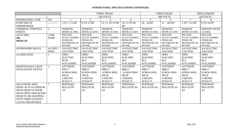|                              |              |                     |                     | <b>THREE PHASE</b>  |                     |                     | <b>THREE PHASE</b>  | <b>SINGLE PHASE</b>         |                    |  |
|------------------------------|--------------|---------------------|---------------------|---------------------|---------------------|---------------------|---------------------|-----------------------------|--------------------|--|
|                              |              |                     |                     | 240 VOLTS           |                     |                     | 480 VOLTS           |                             | 240 VOLTS          |  |
| POWER PANEL TYPE             | NO.          |                     | 2                   | 3                   | $\overline{4}$      | 5                   | 6                   | 7                           | 8                  |  |
| <b>PUMP SIZE IN</b>          | ------------ | 3 TO 7 1/2 HP       | 8 TO 15 HP          | 15 1/2 TO 29 HP     | 29 1/2 TO 40        | $30 - 50$ HP        | $51 - 100$ HP       | 2 TO 7 1/2 HP               | 8 TO 10 HP         |  |
| <b>HORSEPOWER</b>            |              |                     |                     |                     | HP                  |                     |                     |                             |                    |  |
| <b>TERMINAL STRIP RTU</b>    | 2            | <b>PHOENIX</b>      | <b>PHOENIX</b>      | <b>PHOENIX</b>      | <b>PHOENIX</b>      | <b>PHOENIX</b>      | <b>PHOENIX</b>      | <b>PHOENIX</b>              | PHOENIX MSTB       |  |
| <b>POINTS</b>                |              | MSTB 14 AWG         | MSTB 14 AWG         | MSTB 14 AWG         | MSTB 14 AWG         | MSTB 14 AWG         | MSTB 14 AWG         | MSTB 14 AWG                 | <b>14 AWG</b>      |  |
| <b>AUTO MEG</b>              | 1 PER        | MEGGER;             | MEGGER;             | MEGGER;             | MEGGER;             | MEGGER;             | MEGGER;             | MEGGER;                     | MEGGER;            |  |
| <b>OR</b>                    | <b>PUMP</b>  | <b>FLYGT SUBMEG</b> | <b>FLYGT SUBMEG</b> | <b>FLYGT SUBMEG</b> | <b>FLYGT SUBMEG</b> | <b>FLYGT SUBMEG</b> | <b>FLYGT SUBMEG</b> | FLYGT SUBMEG   FLYGT SUBMEG |                    |  |
| <b>MINICAS</b>               |              | PPSMS OR            | PPSMS OR            | PPSMS OR            | PPSMS OR            | PPSMS OR            | PPSMS OR            | PPSMS OR                    | PPSMS OR           |  |
|                              |              | <b>MOTORSAFE M-</b> | MOTORSAFE M-        | MOTORSAFE M-        | MOTORSAFE M-        | MOTORSAFE M-        | <b>MOTORSAFE M-</b> | MOTORSAFE M-                | MOTORSAFE M-       |  |
|                              |              | 603-IND             | 603-IND             | 603-IND             | 603-IND             | 603-IND             | 603-IND             | 603-IND                     | 603-IND            |  |
| <b>INTERPOSING RELAY</b>     | AS SPEC-     | <b>AA ELECTRIC</b>  | AA ELECTRIC         | <b>AA ELECTRIC</b>  | <b>AA ELECTRIC</b>  | <b>AA ELECTRIC</b>  | <b>AA ELECTRIC</b>  | <b>AA ELECTRIC</b>          | <b>AA ELECTRIC</b> |  |
|                              | <b>IFIED</b> | AAE D204            | AAE D204            | AAE D204            | AAE D204            | AAE D204            | AAE D204            | AAE D204                    | AAE D204           |  |
| <b>ALARM LIGHT</b>           |              | <b>OHIO</b>         | <b>OHIO</b>         | <b>OHIO</b>         | <b>OHIO</b>         | <b>OHIO</b>         | <b>OHIO</b>         | <b>OHIO</b>                 | <b>OHIO</b>        |  |
|                              |              | <b>ELECTRIC</b>     | <b>ELECTRIC</b>     | <b>ELECTRIC</b>     | <b>ELECTRIC</b>     | <b>ELECTRIC</b>     | <b>ELECTRIC</b>     | <b>ELECTRIC</b>             | <b>ELECTRIC</b>    |  |
|                              |              | RL3K                | RL3                 | RL3                 | RL3                 | RL3                 | RL3                 | RL3                         | RL3                |  |
|                              |              | <b>W/FLASHER</b>    | <b>W/FLASHER</b>    | <b>W/FLASHER</b>    | <b>W/FLASHER</b>    | <b>W/FLASHER</b>    | <b>W/FLASHER</b>    | <b>W/FLASHER</b>            | <b>W/FLASHER</b>   |  |
| <b>MAINTENANCE LIGHT</b>     |              | <b>LEVITRON</b>     | <b>LEVITRON</b>     | <b>LEVITRON</b>     | <b>LEVITRON</b>     | <b>LEVITRON</b>     | <b>LEVITRON</b>     | <b>LEVITRON</b>             | <b>LEVITRON</b>    |  |
| WITH ON/OFF SWITCH           |              | 98801"              | 9880-1"             | 9880-1"             | 9880-1"             | 9880-1"             | 9880-1"             | 9880-1"                     | 9880-1"            |  |
|                              |              | <b>SCREW RING</b>   | <b>SCREW RING</b>   | <b>SCREW RING</b>   | <b>SCREW RING</b>   | <b>SCREW RING</b>   | <b>SCREW RING</b>   | <b>SCREW RING</b>           | <b>SCREW RING</b>  |  |
|                              |              | <b>NECK</b>         | <b>NECK</b>         | <b>NECK</b>         | <b>NECK</b>         | <b>NECK</b>         | <b>NECK</b>         | <b>NECK</b>                 | <b>NECK</b>        |  |
|                              |              | <b>CARLING</b>      | <b>CARLING</b>      | <b>CARLING</b>      | <b>CARLING</b>      | <b>CARLING</b>      | <b>CARLING</b>      | <b>CARLING</b>              | <b>CARLING</b>     |  |
|                              |              | 2FA54-73            | 2FA54-73            | 2FA54-73            | 2FA54-73            | 2FA54-73            | 2FA54-73            | 2FA54-73                    | 2FA54-73           |  |
| <b>ENCLOSURE 30455</b>       |              | <b>HOFFMAN</b>      | <b>HOFFMAN</b>      | <b>HOFFMAN</b>      | <b>HOFFMAN</b>      | <b>HOFFMAN</b>      | <b>HOFFMAN</b>      | <b>HOFFMAN</b>              | <b>HOFFMAN</b>     |  |
| <b>NEMA 4X W/ALUMINUM</b>    |              | <b>BULLETIN</b>     | <b>BULLETIN</b>     | <b>BULLETIN</b>     | <b>BULLETIN A4</b>  | <b>BULLETIN A4</b>  | <b>BULLETIN A4</b>  | <b>BULLETIN</b>             | <b>BULLETIN</b>    |  |
| <b>DEAD FRONT &amp; DOOR</b> |              | A <sup>4</sup>      | A <sub>4</sub>      | A4                  |                     |                     |                     | A <sup>4</sup>              | A4                 |  |
| <b>HOLD OPEN ARM OUTER</b>   |              |                     |                     |                     |                     |                     |                     |                             |                    |  |
| DOOR TO BE EQUIPPED          |              |                     |                     |                     |                     |                     |                     |                             |                    |  |
| WITH THREE (3) POINT         |              |                     |                     |                     |                     |                     |                     |                             |                    |  |
| <b>LATCH AND HANDLE</b>      |              |                     |                     |                     |                     |                     |                     |                             |                    |  |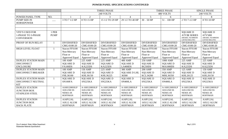|                            |             |                       |                    | <b>THREE PHASE</b>    |                     |                       | <b>THREE PHASE</b> | <b>SINGLE PHASE</b>   |                       |  |
|----------------------------|-------------|-----------------------|--------------------|-----------------------|---------------------|-----------------------|--------------------|-----------------------|-----------------------|--|
|                            |             |                       |                    | 240 VOLTS             |                     |                       | 480 VOLTS          |                       | 240 VOLTS             |  |
| POWER PANEL TYPE           | NO.         |                       | $\overline{2}$     | $\overline{3}$        | $\overline{4}$      | 5 <sup>5</sup>        | 6                  | $\overline{7}$        | 8                     |  |
| <b>PUMP SIZE IN</b>        |             | 3 TO 7 1/2 HP         | 8 TO 15 HP         | 15 1/2 TO 29 HP       | 29 1/2 TO 40 HP     | $30 - 50$ HP          | $51 - 100$ HP      | 2 TO 7-1/2 HP         | 8 TO 10 HP            |  |
| <b>HORSEPOWER</b>          |             |                       |                    |                       |                     |                       |                    |                       |                       |  |
|                            |             |                       |                    |                       |                     |                       |                    |                       |                       |  |
|                            |             |                       |                    |                       |                     |                       |                    |                       |                       |  |
| <b>VFD'S USED FOR</b>      | 1 PER       |                       |                    |                       |                     |                       |                    | <b>SQUARE D</b>       | <b>SQUARE D</b>       |  |
| 1-PHASE TO 3-PHASE         | <b>PUMP</b> |                       |                    |                       |                     |                       |                    | <b>ATV31 SERIES</b>   | ATV58H                |  |
| <b>CONVERSION</b>          |             |                       |                    |                       |                     |                       |                    | (MODEL NUMBERS        | (MODEL NUMBERS        |  |
|                            |             |                       |                    |                       |                     |                       |                    | LISTED BELOW)         | <b>LISTED BELOW)</b>  |  |
| PROOF OF RUN RELAY         |             | <b>DIVERSIFIED</b>    | <b>DIVERSIFIED</b> | <b>DIVERSIFIED</b>    | <b>DIVERSIFIED</b>  | <b>DIVERSIFIED</b>    | <b>DIVERSIFIED</b> | <b>DIVERSIFIED</b>    | <b>DIVERSIFIED</b>    |  |
|                            |             | CMG-0100-20           | CMG-0100-20        | CMG-0100-20           | CMG-0100-20         | CMG-0100-20           | CMG-0100-20        | CMG-0100-20           | CMG-0100-20           |  |
| <b>HIGH LEVEL FLOAT</b>    |             | Stacon FFS100         | Stacon FFS100      | Stacon FFS100         | Stacon FFS100       | Stacon FFS100         | Stacon FFS100      | Stacon FFS100         | Stacon FFS100         |  |
|                            |             | Non-Mercury           | Non-Mercury        | Non-Mercury           | Non-Mercury         | Non-Mercury           | Non-Mercury        | Non-Mercury           | Non-Mercury           |  |
|                            |             | Float or              | Float or           | Float or              | Float or            | Float or              | Float or           | Float or              | Float or              |  |
|                            |             | <b>Approved Equal</b> | Approved Equal     | <b>Approved Equal</b> | Approved Equal      | <b>Approved Equal</b> | Approved Equal     | <b>Approved Equal</b> | <b>Approved Equal</b> |  |
| <b>DUPLEX STATION MAIN</b> |             | <b>100 AMP</b>        | 225 AMP            | 225 AMP               | 400 AMP             | <b>250 AMP</b>        | 1000 AMP           | 225 AMP               | <b>225 AMP</b>        |  |
| <b>DISCONNECT</b>          |             | <b>SQUARE D</b>       | <b>SQUARE D</b>    | <b>SQUARE D</b>       | <b>SQUARE D</b>     | <b>SQUARE D</b>       | <b>SQUARE D</b>    | <b>SQUARE D</b>       | <b>SQUARE D</b>       |  |
| <b>ENCLOSURE</b>           |             | <b>FA100DS</b>        | KA225DS            | KA225DS               | LA400DS             | <b>IK250DS</b>        | <b>MA1000DS</b>    | KA225DS               | KA225DS               |  |
| <b>DUPLEX STATION MAIN</b> |             | <b>100 AMP</b>        | <b>150 AMP</b>     | 225 AMP               | 300 AMP             | <b>200 AMP</b>        | 350 AMP            | 125 AMP               | 150 AMP               |  |
| <b>DISCONNECT BREAKER</b>  |             | <b>SQUARE D</b>       | <b>SQUARE D</b>    | <b>SQUARE D</b>       | <b>SQUARE D LHL</b> | <b>SQUARE D</b>       | <b>SQUARE D</b>    | <b>SQUARE D</b>       | <b>SQUARE D</b>       |  |
|                            |             | FHL36100              | KHL36150           | KHL36225              | 36300               | <b>KCL34200</b>       | MHL36350           | KHL26125              | KHL26150              |  |
| <b>DUPLEX STATION MAIN</b> |             | <b>SQUARE D</b>       | <b>SQUARE D</b>    | <b>SQUARE D</b>       | <b>SQUARE D</b>     | <b>SQUARE D</b>       | <b>SQUARE D</b>    | <b>SQUARE D</b>       | <b>SQUARE D</b>       |  |
| DISCONNECT NEUTRAL         |             | SN100FA               | SN225KA            | SN225KA               | SN400LA             | SN225KA               | SN400LA            | SN225KA               | SN225KA               |  |
| <b>KIT</b>                 |             |                       |                    |                       |                     |                       |                    |                       |                       |  |
| <b>DUPLEX STATION</b>      |             | A16H1208SSLP          | A-16H1208SSLP      | A-16H1208SSLP         | A-16H1208SSLP       | A-16H1208SSLP         | A-16H1208SSLP      | A-16H1208SSLP         | A-16H1208SSLP         |  |
| <b>JUNCTION BOX</b>        |             | 16X12X8 SS            | 16X12X8 SS         | 16X12X8 SS            | 16X12X8 SS          | 16X12X8 SS            | 16X12X8 SS         | 16X12X8 SS            | 16X12X8 SS            |  |
| STAINLESS STEEL            |             | NEMA 4X               | NEMA 4X            | NEMA 4X               | NEMA 4X             | NEMA 4X               | NEMA 4X            | NEMA 4X               | NEMA 4X               |  |
|                            |             | <b>HOFFMAN</b>        | <b>HOFFMAN</b>     | <b>HOFFMAN</b>        | <b>HOFFMAN</b>      | <b>HOFFMAN</b>        | <b>HOFFMAN</b>     | <b>HOFFMAN</b>        | <b>HOFFMAN</b>        |  |
| <b>DUPLEX STATION</b>      |             | A16P12AL              | A16P12AL           | A16P12AL              | A16P12AL            | A16P12AL              | A16P12AL           | A16P12AL              | A16P12AL              |  |
| <b>JUNCTION BOX</b>        |             | 16X12 ALUM            | 16X12 ALUM         | 16X12 ALUM            | 16X12 ALUM          | 16X12 ALUM            | 16X12 ALUM         | 16X12 ALUM            | 16X12 ALUM            |  |
| <b>BACK PLATE</b>          |             | <b>HOFFMAN</b>        | <b>HOFFMAN</b>     | <b>HOFFMAN</b>        | <b>HOFFMAN</b>      | <b>HOFFMAN</b>        | <b>HOFFMAN</b>     | <b>HOFFMAN</b>        | <b>HOFFMAN</b>        |  |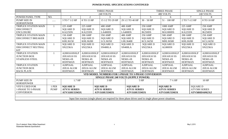|                           |             |                     |                   |  | <b>THREE PHASE</b>                                                                                            |                |                     | <b>THREE PHASE</b><br><b>SINGLE PHASE</b> |                     |                   |                      |                 |
|---------------------------|-------------|---------------------|-------------------|--|---------------------------------------------------------------------------------------------------------------|----------------|---------------------|-------------------------------------------|---------------------|-------------------|----------------------|-----------------|
|                           |             |                     |                   |  | 240 VOLTS                                                                                                     |                |                     |                                           | 480 VOLTS           |                   |                      | 240 VOLTS       |
| POWER PANEL TYPE          | NO.         |                     | $\overline{2}$    |  | 3                                                                                                             |                | $\overline{4}$      | 5 <sup>5</sup>                            | 6                   |                   | $\tau$               | 8               |
| <b>PUMP SIZE IN</b>       |             | 3 TO 7 1/2 HP       | 8 TO 15 HP        |  | 15 1/2 TO 29 HP                                                                                               |                | 29 1/2 TO 40 HP     | $30 - 50$ HP                              | $51 - 100$ HP       | 2 TO 7-1/2 HP     |                      | 8 TO 10 HP      |
| <b>HORSEPOWER</b>         |             |                     |                   |  |                                                                                                               |                |                     |                                           |                     |                   |                      |                 |
| TRIPLEX STATION MAIN      |             | <b>225 AMP</b>      | <b>225 AMP</b>    |  | <b>400 AMP</b>                                                                                                | <b>400 AMP</b> |                     | <b>250 AMP</b>                            | 1000 AMP            | 225 AMP           |                      | <b>250 AMP</b>  |
| <b>DISCONNECT</b>         |             | <b>SQUARE D</b>     | <b>SQUARE D</b>   |  | <b>SQUARE D</b>                                                                                               |                | <b>SQUARE D</b>     | <b>SQUARE D</b>                           | <b>SQUARE D</b>     | <b>SQUARE D</b>   |                      | <b>SQUARE D</b> |
| <b>ENCLOSURE</b>          |             | KA225DS             | <b>KA225DS</b>    |  | LA400DS                                                                                                       | LA400DS        |                     | IK250DS                                   | <b>MA1000DS</b>     | <b>KA225DS</b>    |                      | IK250DS         |
| TRIPLEX STATION MAIN      |             | 150 AMP             | <b>200 AMP</b>    |  | 350 AMP                                                                                                       | <b>400 AMP</b> |                     | <b>250 AMP</b>                            | <b>500 AMP</b>      | <b>200 AMP</b>    |                      | <b>250 AMP</b>  |
| <b>DISCONNECT BREAKER</b> |             | <b>SQUARE D</b>     | <b>SQUARE D</b>   |  | <b>SQUARE D</b>                                                                                               |                | <b>SQUARE D</b>     | <b>SQUARE D</b>                           | <b>SQUARE D</b>     | <b>SQUARE D</b>   |                      | <b>SQUARE D</b> |
|                           |             | KHL36150            | KHL36200          |  | LCL36350                                                                                                      |                | LHL36400            | <b>KCL34250</b>                           | MHL36500            | KHL26200          |                      | <b>KCL24250</b> |
| TRIPLEX STATION MAIN      |             | <b>SQUARE D</b>     | <b>SQUARE D</b>   |  | <b>SQUARE D</b>                                                                                               |                | <b>SQUARE D</b>     | <b>SQUARE D</b>                           | <b>SQUARE D</b>     | <b>SQUARE D</b>   |                      | <b>SQUARE D</b> |
| DISCONNECT NEUTRAL        |             | SN225KA             | SN225KA           |  | SN400LA                                                                                                       | SN400LA        |                     | SN225KA                                   | AL800SN             | SN225KA           |                      | SN225KA         |
| <b>KIT</b>                |             |                     |                   |  |                                                                                                               |                |                     |                                           |                     |                   |                      |                 |
| <b>TRIPLEX STATION</b>    |             | A20H1610SSLP        | A20H1610SSLP      |  | A20H1610SSLP                                                                                                  |                | A20H1610SSLP        | A20H1610SSLP                              | A20H1610SSLP        |                   | A20H1610SSLP         | A20H1610SSLP    |
| <b>JUNCTION BOX</b>       |             | 20X16X10 SS         | 20X16X10 SS       |  | 20X16X10 SS                                                                                                   |                | 20X16X10 SS         | 20X16X10 SS                               | 20X16X10 SS         | 20X16X10 SS       |                      | 20X16X10 SS     |
| <b>STAINLESS STEEL</b>    |             | NEMA 4X             | NEMA 4X           |  | NEMA 4X                                                                                                       |                | NEMA <sub>4</sub> X | NEMA 4X                                   | <b>NEMA 4X</b>      | NEMA 4X           |                      | NEMA 4X         |
|                           |             | <b>HOFFMAN</b>      | <b>HOFFMAN</b>    |  | <b>HOFFMAN</b>                                                                                                |                | <b>HOFFMAN</b>      | <b>HOFFMAN</b>                            | <b>HOFFMAN</b>      | <b>HOFFMAN</b>    |                      | <b>HOFFMAN</b>  |
| <b>TRIPLEX STATION</b>    |             | A20P16AL            | A20P16AL          |  | A20P16AL                                                                                                      |                | A20P16AL            | A20P16AL                                  | A20P16AL            | A20P16AL          |                      | A20P16AL        |
| <b>JUNCTION BOX</b>       |             | <b>20X16 ALUM</b>   | <b>20X16 ALUM</b> |  | <b>20X16 ALUM</b>                                                                                             |                | <b>20X16 ALUM</b>   | <b>20X16 ALUM</b>                         | <b>20X16 ALUM</b>   | <b>20X16 ALUM</b> |                      | 20X16 ALUM      |
| <b>BACK PLATE</b>         |             | <b>HOFFMAN</b>      | <b>HOFFMAN</b>    |  | <b>HOFFMAN</b>                                                                                                |                | <b>HOFFMAN</b>      | <b>HOFFMAN</b>                            | <b>HOFFMAN</b>      | <b>HOFFMAN</b>    |                      | <b>HOFFMAN</b>  |
|                           |             |                     |                   |  | VFD MODEL NUMBERS FOR 1-PHASE TO 3-PHASE CONVERSION                                                           |                |                     |                                           |                     |                   |                      |                 |
|                           |             |                     |                   |  | SINGLE PHASE 240 VOLTS (SUPPLY POWER)                                                                         |                |                     |                                           |                     |                   |                      |                 |
| <b>PUMP SIZE IN</b>       |             | $1.7$ HP            |                   |  | 3 HP                                                                                                          |                |                     | $5$ HP                                    | $7\frac{1}{2}HP$    |                   |                      | 10 HP           |
| <b>HORSEPOWER</b>         |             |                     |                   |  |                                                                                                               |                |                     |                                           |                     |                   |                      |                 |
| VFD'S USED FOR            | 1 PER       | <b>SQUARE D</b>     |                   |  | <b>SQUARE D</b>                                                                                               |                | <b>SQUARE D</b>     |                                           | <b>SQUARE D</b>     |                   | <b>SQUARE D</b>      |                 |
| 1-PHASE TO 3-PHASE        | <b>PUMP</b> | <b>ATV31 SERIES</b> |                   |  | <b>ATV31 SERIES</b>                                                                                           |                | <b>ATV31 SERIES</b> |                                           | <b>ATV31 SERIES</b> |                   | <b>ATV58H SERIES</b> |                 |
| <b>CONVERSION</b>         |             | ATV31HU55M3X        |                   |  | ATV31HU55M3X                                                                                                  |                | ATV31HU55M3X        |                                           | ATV31HU55M3X        |                   |                      | ATV58HD16M2XZ   |
|                           |             |                     |                   |  |                                                                                                               |                |                     |                                           |                     |                   |                      |                 |
|                           |             |                     |                   |  | Input line reactors (single phase) are required for three phase drives used in single phase power situations. |                |                     |                                           |                     |                   |                      |                 |